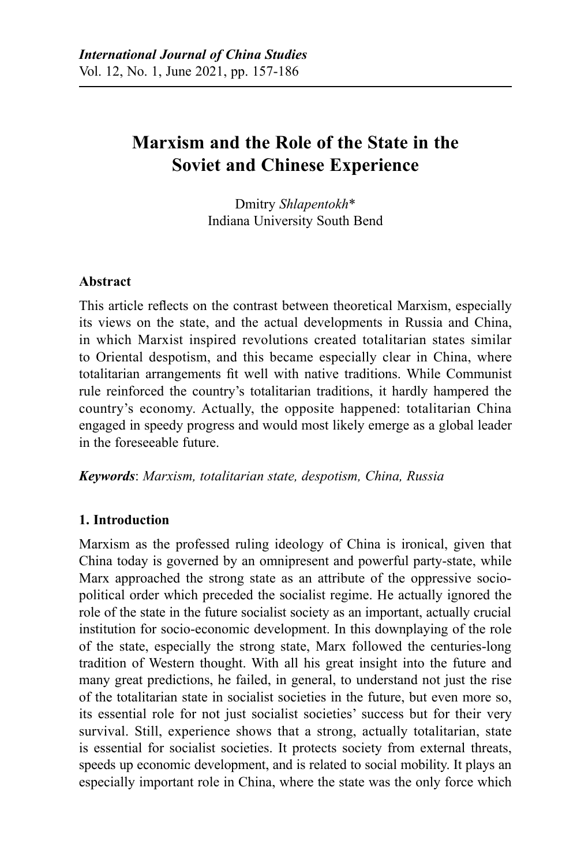# **Marxism and the Role of the State in the Soviet and Chinese Experience**

Dmitry *Shlapentokh*\* Indiana University South Bend

## **Abstract**

This article reflects on the contrast between theoretical Marxism, especially its views on the state, and the actual developments in Russia and China, in which Marxist inspired revolutions created totalitarian states similar to Oriental despotism, and this became especially clear in China, where totalitarian arrangements fit well with native traditions. While Communist rule reinforced the country's totalitarian traditions, it hardly hampered the country's economy. Actually, the opposite happened: totalitarian China engaged in speedy progress and would most likely emerge as a global leader in the foreseeable future.

*Keywords*: *Marxism, totalitarian state, despotism, China, Russia*

## **1. Introduction**

Marxism as the professed ruling ideology of China is ironical, given that China today is governed by an omnipresent and powerful party-state, while Marx approached the strong state as an attribute of the oppressive sociopolitical order which preceded the socialist regime. He actually ignored the role of the state in the future socialist society as an important, actually crucial institution for socio-economic development. In this downplaying of the role of the state, especially the strong state, Marx followed the centuries-long tradition of Western thought. With all his great insight into the future and many great predictions, he failed, in general, to understand not just the rise of the totalitarian state in socialist societies in the future, but even more so, its essential role for not just socialist societies' success but for their very survival. Still, experience shows that a strong, actually totalitarian, state is essential for socialist societies. It protects society from external threats, speeds up economic development, and is related to social mobility. It plays an especially important role in China, where the state was the only force which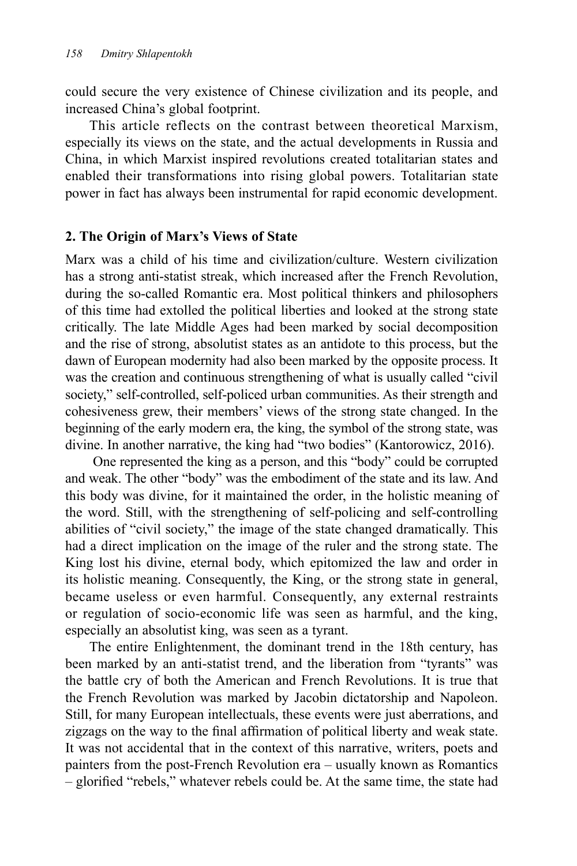could secure the very existence of Chinese civilization and its people, and increased China's global footprint.

This article reflects on the contrast between theoretical Marxism, especially its views on the state, and the actual developments in Russia and China, in which Marxist inspired revolutions created totalitarian states and enabled their transformations into rising global powers. Totalitarian state power in fact has always been instrumental for rapid economic development.

#### **2. The Origin of Marx's Views of State**

Marx was a child of his time and civilization/culture. Western civilization has a strong anti-statist streak, which increased after the French Revolution, during the so-called Romantic era. Most political thinkers and philosophers of this time had extolled the political liberties and looked at the strong state critically. The late Middle Ages had been marked by social decomposition and the rise of strong, absolutist states as an antidote to this process, but the dawn of European modernity had also been marked by the opposite process. It was the creation and continuous strengthening of what is usually called "civil society," self-controlled, self-policed urban communities. As their strength and cohesiveness grew, their members' views of the strong state changed. In the beginning of the early modern era, the king, the symbol of the strong state, was divine. In another narrative, the king had "two bodies" (Kantorowicz, 2016).

 One represented the king as a person, and this "body" could be corrupted and weak. The other "body" was the embodiment of the state and its law. And this body was divine, for it maintained the order, in the holistic meaning of the word. Still, with the strengthening of self-policing and self-controlling abilities of "civil society," the image of the state changed dramatically. This had a direct implication on the image of the ruler and the strong state. The King lost his divine, eternal body, which epitomized the law and order in its holistic meaning. Consequently, the King, or the strong state in general, became useless or even harmful. Consequently, any external restraints or regulation of socio-economic life was seen as harmful, and the king, especially an absolutist king, was seen as a tyrant.

The entire Enlightenment, the dominant trend in the 18th century, has been marked by an anti-statist trend, and the liberation from "tyrants" was the battle cry of both the American and French Revolutions. It is true that the French Revolution was marked by Jacobin dictatorship and Napoleon. Still, for many European intellectuals, these events were just aberrations, and zigzags on the way to the final affirmation of political liberty and weak state. It was not accidental that in the context of this narrative, writers, poets and painters from the post-French Revolution era – usually known as Romantics – glorified "rebels," whatever rebels could be. At the same time, the state had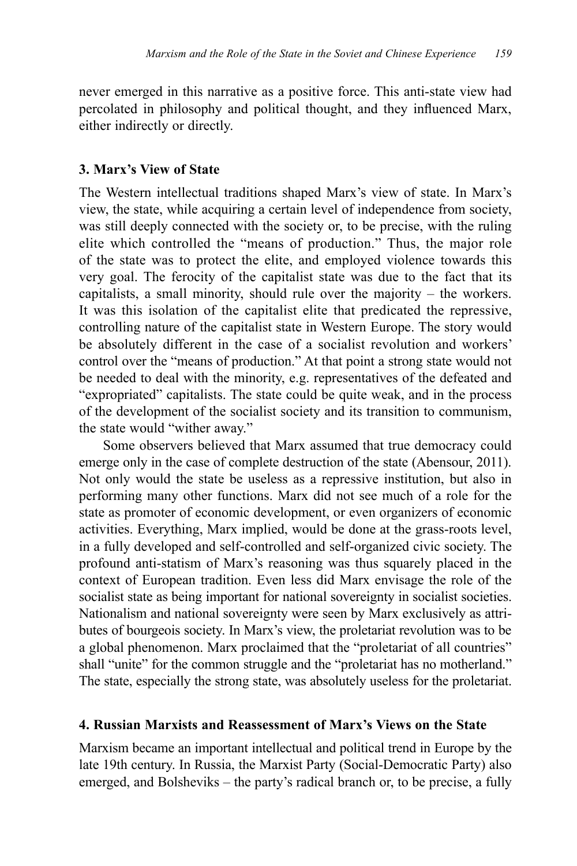never emerged in this narrative as a positive force. This anti-state view had percolated in philosophy and political thought, and they influenced Marx, either indirectly or directly.

#### **3. Marx's View of State**

The Western intellectual traditions shaped Marx's view of state. In Marx's view, the state, while acquiring a certain level of independence from society, was still deeply connected with the society or, to be precise, with the ruling elite which controlled the "means of production." Thus, the major role of the state was to protect the elite, and employed violence towards this very goal. The ferocity of the capitalist state was due to the fact that its capitalists, a small minority, should rule over the majority – the workers. It was this isolation of the capitalist elite that predicated the repressive, controlling nature of the capitalist state in Western Europe. The story would be absolutely different in the case of a socialist revolution and workers' control over the "means of production." At that point a strong state would not be needed to deal with the minority, e.g. representatives of the defeated and "expropriated" capitalists. The state could be quite weak, and in the process of the development of the socialist society and its transition to communism, the state would "wither away."

Some observers believed that Marx assumed that true democracy could emerge only in the case of complete destruction of the state (Abensour, 2011). Not only would the state be useless as a repressive institution, but also in performing many other functions. Marx did not see much of a role for the state as promoter of economic development, or even organizers of economic activities. Everything, Marx implied, would be done at the grass-roots level, in a fully developed and self-controlled and self-organized civic society. The profound anti-statism of Marx's reasoning was thus squarely placed in the context of European tradition. Even less did Marx envisage the role of the socialist state as being important for national sovereignty in socialist societies. Nationalism and national sovereignty were seen by Marx exclusively as attributes of bourgeois society. In Marx's view, the proletariat revolution was to be a global phenomenon. Marx proclaimed that the "proletariat of all countries" shall "unite" for the common struggle and the "proletariat has no motherland." The state, especially the strong state, was absolutely useless for the proletariat.

#### **4. Russian Marxists and Reassessment of Marx's Views on the State**

Marxism became an important intellectual and political trend in Europe by the late 19th century. In Russia, the Marxist Party (Social-Democratic Party) also emerged, and Bolsheviks – the party's radical branch or, to be precise, a fully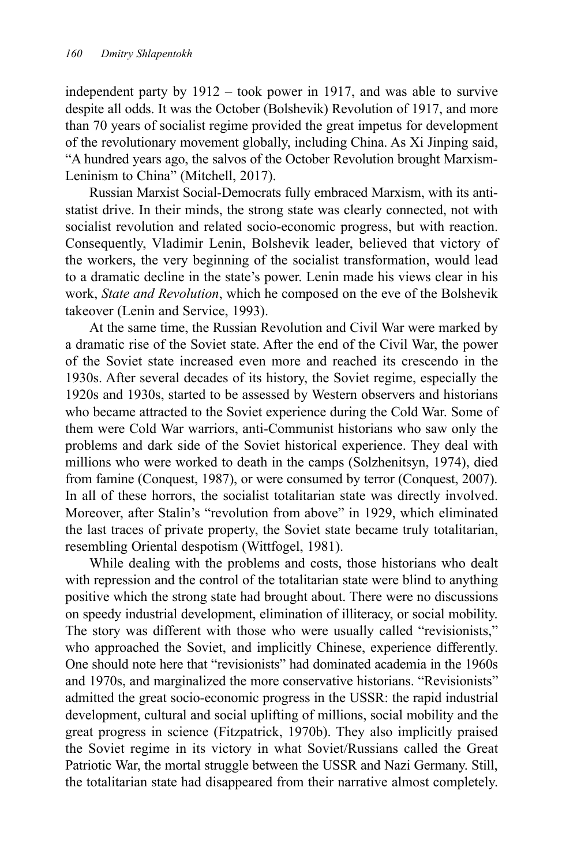independent party by 1912 – took power in 1917, and was able to survive despite all odds. It was the October (Bolshevik) Revolution of 1917, and more than 70 years of socialist regime provided the great impetus for development of the revolutionary movement globally, including China. As Xi Jinping said, "A hundred years ago, the salvos of the October Revolution brought Marxism-Leninism to China" (Mitchell, 2017).

Russian Marxist Social-Democrats fully embraced Marxism, with its antistatist drive. In their minds, the strong state was clearly connected, not with socialist revolution and related socio-economic progress, but with reaction. Consequently, Vladimir Lenin, Bolshevik leader, believed that victory of the workers, the very beginning of the socialist transformation, would lead to a dramatic decline in the state's power. Lenin made his views clear in his work, *State and Revolution*, which he composed on the eve of the Bolshevik takeover (Lenin and Service, 1993).

At the same time, the Russian Revolution and Civil War were marked by a dramatic rise of the Soviet state. After the end of the Civil War, the power of the Soviet state increased even more and reached its crescendo in the 1930s. After several decades of its history, the Soviet regime, especially the 1920s and 1930s, started to be assessed by Western observers and historians who became attracted to the Soviet experience during the Cold War. Some of them were Cold War warriors, anti-Communist historians who saw only the problems and dark side of the Soviet historical experience. They deal with millions who were worked to death in the camps (Solzhenitsyn, 1974), died from famine (Conquest, 1987), or were consumed by terror (Conquest, 2007). In all of these horrors, the socialist totalitarian state was directly involved. Moreover, after Stalin's "revolution from above" in 1929, which eliminated the last traces of private property, the Soviet state became truly totalitarian, resembling Oriental despotism (Wittfogel, 1981).

While dealing with the problems and costs, those historians who dealt with repression and the control of the totalitarian state were blind to anything positive which the strong state had brought about. There were no discussions on speedy industrial development, elimination of illiteracy, or social mobility. The story was different with those who were usually called "revisionists," who approached the Soviet, and implicitly Chinese, experience differently. One should note here that "revisionists" had dominated academia in the 1960s and 1970s, and marginalized the more conservative historians. "Revisionists" admitted the great socio-economic progress in the USSR: the rapid industrial development, cultural and social uplifting of millions, social mobility and the great progress in science (Fitzpatrick, 1970b). They also implicitly praised the Soviet regime in its victory in what Soviet/Russians called the Great Patriotic War, the mortal struggle between the USSR and Nazi Germany. Still, the totalitarian state had disappeared from their narrative almost completely.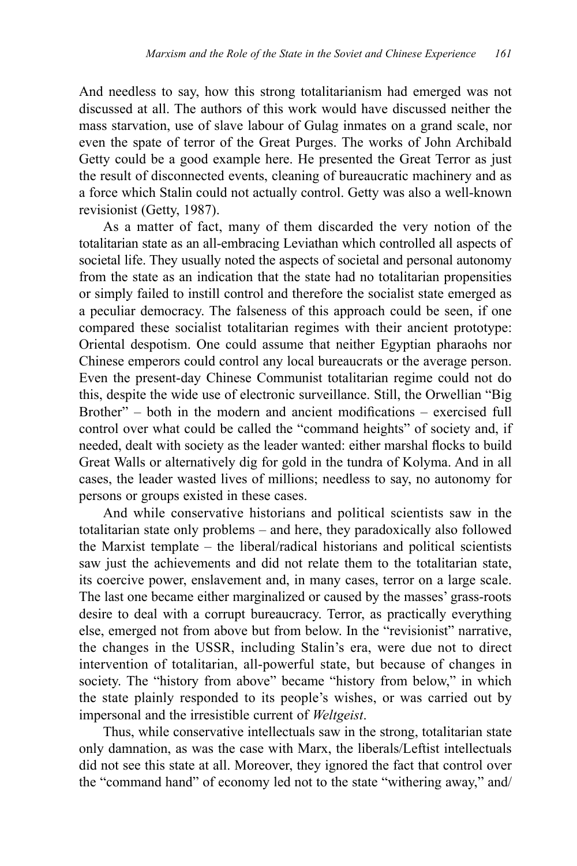And needless to say, how this strong totalitarianism had emerged was not discussed at all. The authors of this work would have discussed neither the mass starvation, use of slave labour of Gulag inmates on a grand scale, nor even the spate of terror of the Great Purges. The works of John Archibald Getty could be a good example here. He presented the Great Terror as just the result of disconnected events, cleaning of bureaucratic machinery and as a force which Stalin could not actually control. Getty was also a well-known revisionist (Getty, 1987).

As a matter of fact, many of them discarded the very notion of the totalitarian state as an all-embracing Leviathan which controlled all aspects of societal life. They usually noted the aspects of societal and personal autonomy from the state as an indication that the state had no totalitarian propensities or simply failed to instill control and therefore the socialist state emerged as a peculiar democracy. The falseness of this approach could be seen, if one compared these socialist totalitarian regimes with their ancient prototype: Oriental despotism. One could assume that neither Egyptian pharaohs nor Chinese emperors could control any local bureaucrats or the average person. Even the present-day Chinese Communist totalitarian regime could not do this, despite the wide use of electronic surveillance. Still, the Orwellian "Big Brother" – both in the modern and ancient modifications – exercised full control over what could be called the "command heights" of society and, if needed, dealt with society as the leader wanted: either marshal flocks to build Great Walls or alternatively dig for gold in the tundra of Kolyma. And in all cases, the leader wasted lives of millions; needless to say, no autonomy for persons or groups existed in these cases.

And while conservative historians and political scientists saw in the totalitarian state only problems – and here, they paradoxically also followed the Marxist template – the liberal/radical historians and political scientists saw just the achievements and did not relate them to the totalitarian state, its coercive power, enslavement and, in many cases, terror on a large scale. The last one became either marginalized or caused by the masses' grass-roots desire to deal with a corrupt bureaucracy. Terror, as practically everything else, emerged not from above but from below. In the "revisionist" narrative, the changes in the USSR, including Stalin's era, were due not to direct intervention of totalitarian, all-powerful state, but because of changes in society. The "history from above" became "history from below," in which the state plainly responded to its people's wishes, or was carried out by impersonal and the irresistible current of *Weltgeist*.

Thus, while conservative intellectuals saw in the strong, totalitarian state only damnation, as was the case with Marx, the liberals/Leftist intellectuals did not see this state at all. Moreover, they ignored the fact that control over the "command hand" of economy led not to the state "withering away," and/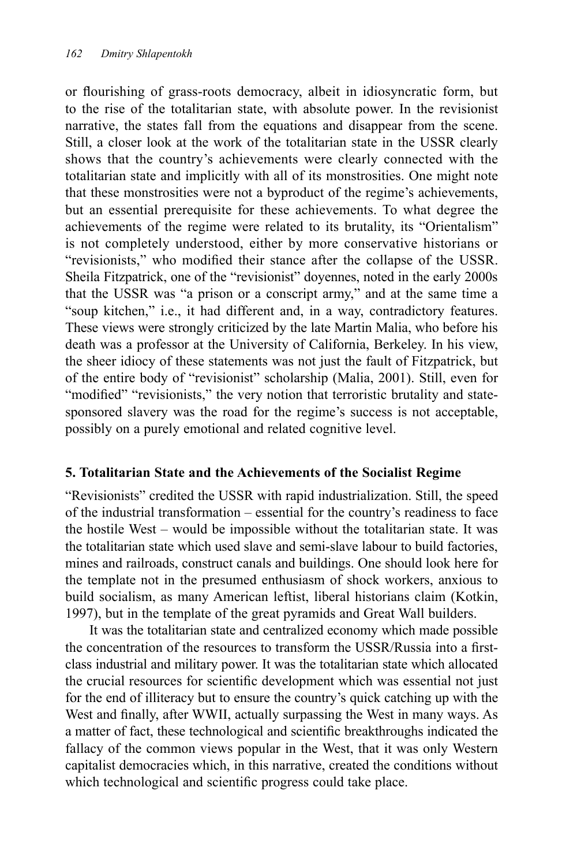or flourishing of grass-roots democracy, albeit in idiosyncratic form, but to the rise of the totalitarian state, with absolute power. In the revisionist narrative, the states fall from the equations and disappear from the scene. Still, a closer look at the work of the totalitarian state in the USSR clearly shows that the country's achievements were clearly connected with the totalitarian state and implicitly with all of its monstrosities. One might note that these monstrosities were not a byproduct of the regime's achievements, but an essential prerequisite for these achievements. To what degree the achievements of the regime were related to its brutality, its "Orientalism" is not completely understood, either by more conservative historians or "revisionists," who modified their stance after the collapse of the USSR. Sheila Fitzpatrick, one of the "revisionist" doyennes, noted in the early 2000s that the USSR was "a prison or a conscript army," and at the same time a "soup kitchen," i.e., it had different and, in a way, contradictory features. These views were strongly criticized by the late Martin Malia, who before his death was a professor at the University of California, Berkeley. In his view, the sheer idiocy of these statements was not just the fault of Fitzpatrick, but of the entire body of "revisionist" scholarship (Malia, 2001). Still, even for "modified" "revisionists," the very notion that terroristic brutality and statesponsored slavery was the road for the regime's success is not acceptable, possibly on a purely emotional and related cognitive level.

## **5. Totalitarian State and the Achievements of the Socialist Regime**

"Revisionists" credited the USSR with rapid industrialization. Still, the speed of the industrial transformation – essential for the country's readiness to face the hostile West – would be impossible without the totalitarian state. It was the totalitarian state which used slave and semi-slave labour to build factories, mines and railroads, construct canals and buildings. One should look here for the template not in the presumed enthusiasm of shock workers, anxious to build socialism, as many American leftist, liberal historians claim (Kotkin, 1997), but in the template of the great pyramids and Great Wall builders.

It was the totalitarian state and centralized economy which made possible the concentration of the resources to transform the USSR/Russia into a firstclass industrial and military power. It was the totalitarian state which allocated the crucial resources for scientific development which was essential not just for the end of illiteracy but to ensure the country's quick catching up with the West and finally, after WWII, actually surpassing the West in many ways. As a matter of fact, these technological and scientific breakthroughs indicated the fallacy of the common views popular in the West, that it was only Western capitalist democracies which, in this narrative, created the conditions without which technological and scientific progress could take place.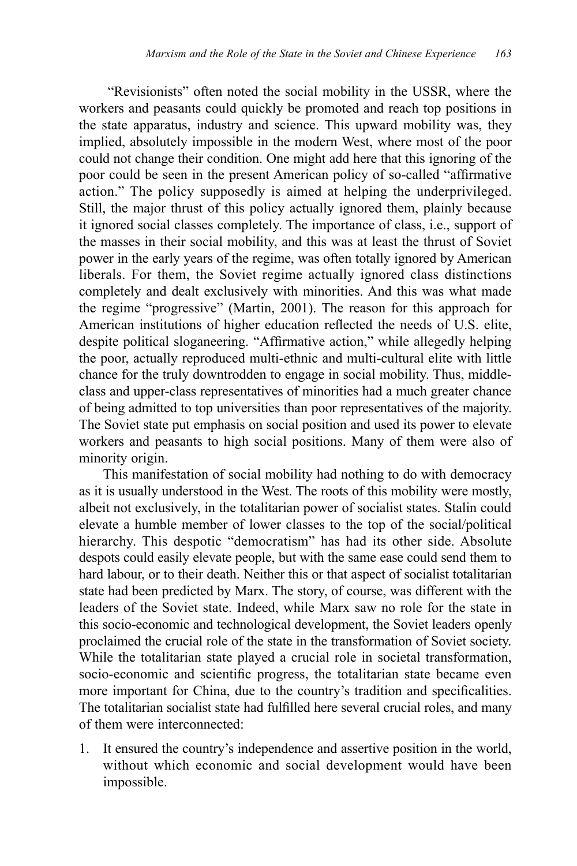"Revisionists" often noted the social mobility in the USSR, where the workers and peasants could quickly be promoted and reach top positions in the state apparatus, industry and science. This upward mobility was, they implied, absolutely impossible in the modern West, where most of the poor could not change their condition. One might add here that this ignoring of the poor could be seen in the present American policy of so-called "affirmative action." The policy supposedly is aimed at helping the underprivileged. Still, the major thrust of this policy actually ignored them, plainly because it ignored social classes completely. The importance of class, i.e., support of the masses in their social mobility, and this was at least the thrust of Soviet power in the early years of the regime, was often totally ignored by American liberals. For them, the Soviet regime actually ignored class distinctions completely and dealt exclusively with minorities. And this was what made the regime "progressive" (Martin, 2001). The reason for this approach for American institutions of higher education reflected the needs of U.S. elite, despite political sloganeering. "Affirmative action," while allegedly helping the poor, actually reproduced multi-ethnic and multi-cultural elite with little chance for the truly downtrodden to engage in social mobility. Thus, middleclass and upper-class representatives of minorities had a much greater chance of being admitted to top universities than poor representatives of the majority. The Soviet state put emphasis on social position and used its power to elevate workers and peasants to high social positions. Many of them were also of minority origin.

This manifestation of social mobility had nothing to do with democracy as it is usually understood in the West. The roots of this mobility were mostly, albeit not exclusively, in the totalitarian power of socialist states. Stalin could elevate a humble member of lower classes to the top of the social/political hierarchy. This despotic "democratism" has had its other side. Absolute despots could easily elevate people, but with the same ease could send them to hard labour, or to their death. Neither this or that aspect of socialist totalitarian state had been predicted by Marx. The story, of course, was different with the leaders of the Soviet state. Indeed, while Marx saw no role for the state in this socio-economic and technological development, the Soviet leaders openly proclaimed the crucial role of the state in the transformation of Soviet society. While the totalitarian state played a crucial role in societal transformation, socio-economic and scientific progress, the totalitarian state became even more important for China, due to the country's tradition and specificalities. The totalitarian socialist state had fulfilled here several crucial roles, and many of them were interconnected:

1. It ensured the country's independence and assertive position in the world, without which economic and social development would have been impossible.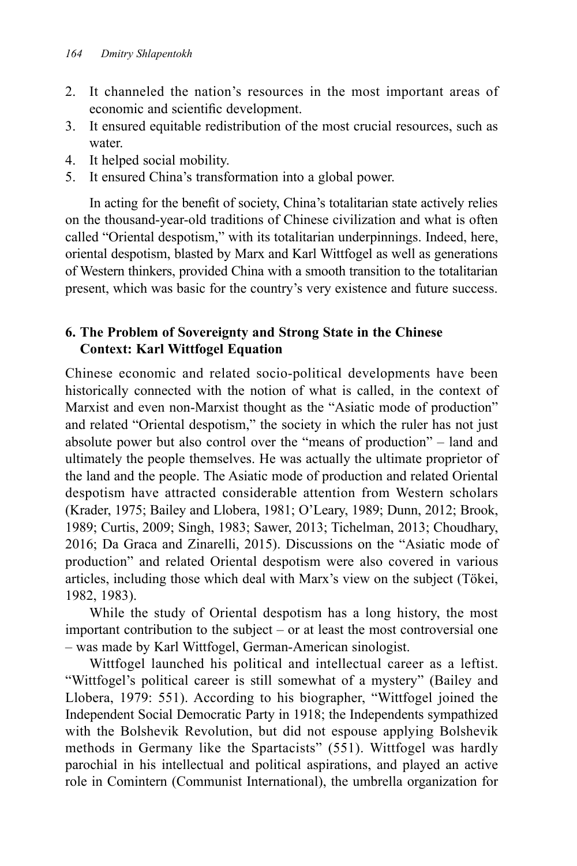- 2. It channeled the nation's resources in the most important areas of economic and scientific development.
- 3. It ensured equitable redistribution of the most crucial resources, such as water.
- 4. It helped social mobility.
- 5. It ensured China's transformation into a global power.

In acting for the benefit of society, China's totalitarian state actively relies on the thousand-year-old traditions of Chinese civilization and what is often called "Oriental despotism," with its totalitarian underpinnings. Indeed, here, oriental despotism, blasted by Marx and Karl Wittfogel as well as generations of Western thinkers, provided China with a smooth transition to the totalitarian present, which was basic for the country's very existence and future success.

# **6. The Problem of Sovereignty and Strong State in the Chinese Context: Karl Wittfogel Equation**

Chinese economic and related socio-political developments have been historically connected with the notion of what is called, in the context of Marxist and even non-Marxist thought as the "Asiatic mode of production" and related "Oriental despotism," the society in which the ruler has not just absolute power but also control over the "means of production" – land and ultimately the people themselves. He was actually the ultimate proprietor of the land and the people. The Asiatic mode of production and related Oriental despotism have attracted considerable attention from Western scholars (Krader, 1975; Bailey and Llobera, 1981; O'Leary, 1989; Dunn, 2012; Brook, 1989; Curtis, 2009; Singh, 1983; Sawer, 2013; Tichelman, 2013; Choudhary, 2016; Da Graca and Zinarelli, 2015). Discussions on the "Asiatic mode of production" and related Oriental despotism were also covered in various articles, including those which deal with Marx's view on the subject (Tökei, 1982, 1983).

While the study of Oriental despotism has a long history, the most important contribution to the subject – or at least the most controversial one – was made by Karl Wittfogel, German-American sinologist.

Wittfogel launched his political and intellectual career as a leftist. "Wittfogel's political career is still somewhat of a mystery" (Bailey and Llobera, 1979: 551). According to his biographer, "Wittfogel joined the Independent Social Democratic Party in 1918; the Independents sympathized with the Bolshevik Revolution, but did not espouse applying Bolshevik methods in Germany like the Spartacists" (551). Wittfogel was hardly parochial in his intellectual and political aspirations, and played an active role in Comintern (Communist International), the umbrella organization for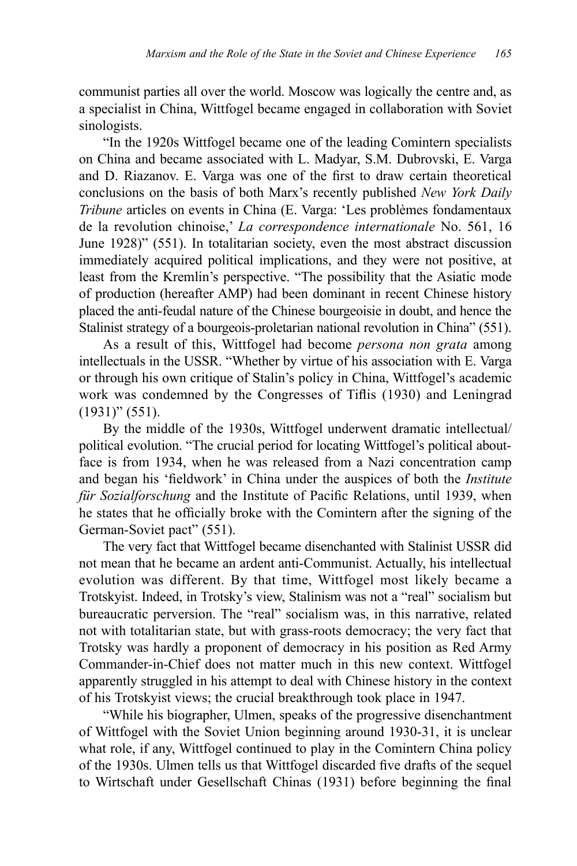communist parties all over the world. Moscow was logically the centre and, as a specialist in China, Wittfogel became engaged in collaboration with Soviet sinologists.

"In the 1920s Wittfogel became one of the leading Comintern specialists on China and became associated with L. Madyar, S.M. Dubrovski, E. Varga and D. Riazanov. E. Varga was one of the first to draw certain theoretical conclusions on the basis of both Marx's recently published *New York Daily Tribune* articles on events in China (E. Varga: 'Les problèmes fondamentaux de la revolution chinoise,' *La correspondence internationale* No. 561, 16 June 1928)" (551). In totalitarian society, even the most abstract discussion immediately acquired political implications, and they were not positive, at least from the Kremlin's perspective. "The possibility that the Asiatic mode of production (hereafter AMP) had been dominant in recent Chinese history placed the anti-feudal nature of the Chinese bourgeoisie in doubt, and hence the Stalinist strategy of a bourgeois-proletarian national revolution in China" (551).

As a result of this, Wittfogel had become *persona non grata* among intellectuals in the USSR. "Whether by virtue of his association with E. Varga or through his own critique of Stalin's policy in China, Wittfogel's academic work was condemned by the Congresses of Tiflis (1930) and Leningrad (1931)" (551).

By the middle of the 1930s, Wittfogel underwent dramatic intellectual/ political evolution. "The crucial period for locating Wittfogel's political aboutface is from 1934, when he was released from a Nazi concentration camp and began his 'fieldwork' in China under the auspices of both the *Institute für Sozialforschung* and the Institute of Pacific Relations, until 1939, when he states that he officially broke with the Comintern after the signing of the German-Soviet pact" (551).

The very fact that Wittfogel became disenchanted with Stalinist USSR did not mean that he became an ardent anti-Communist. Actually, his intellectual evolution was different. By that time, Wittfogel most likely became a Trotskyist. Indeed, in Trotsky's view, Stalinism was not a "real" socialism but bureaucratic perversion. The "real" socialism was, in this narrative, related not with totalitarian state, but with grass-roots democracy; the very fact that Trotsky was hardly a proponent of democracy in his position as Red Army Commander-in-Chief does not matter much in this new context. Wittfogel apparently struggled in his attempt to deal with Chinese history in the context of his Trotskyist views; the crucial breakthrough took place in 1947.

"While his biographer, Ulmen, speaks of the progressive disenchantment of Wittfogel with the Soviet Union beginning around 1930-31, it is unclear what role, if any, Wittfogel continued to play in the Comintern China policy of the 1930s. Ulmen tells us that Wittfogel discarded five drafts of the sequel to Wirtschaft under Gesellschaft Chinas (1931) before beginning the final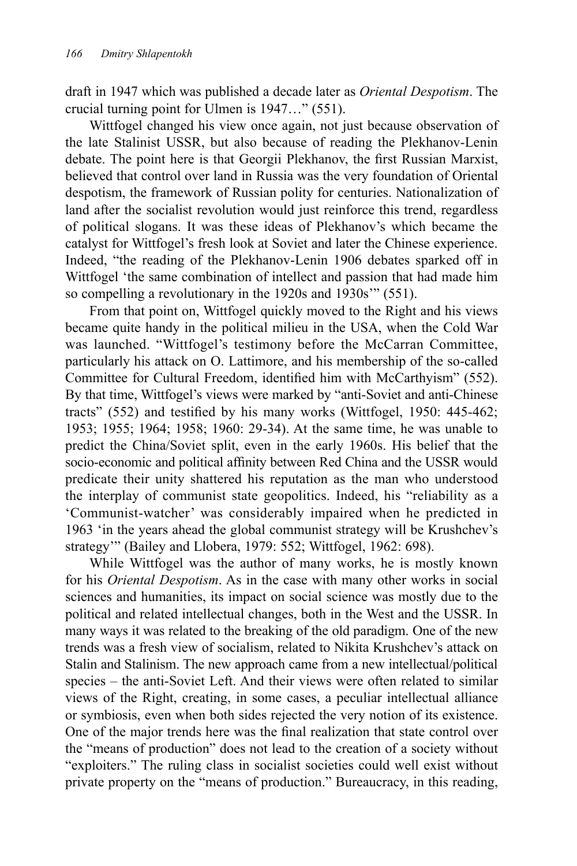draft in 1947 which was published a decade later as *Oriental Despotism*. The crucial turning point for Ulmen is 1947…" (551).

Wittfogel changed his view once again, not just because observation of the late Stalinist USSR, but also because of reading the Plekhanov-Lenin debate. The point here is that Georgii Plekhanov, the first Russian Marxist, believed that control over land in Russia was the very foundation of Oriental despotism, the framework of Russian polity for centuries. Nationalization of land after the socialist revolution would just reinforce this trend, regardless of political slogans. It was these ideas of Plekhanov's which became the catalyst for Wittfogel's fresh look at Soviet and later the Chinese experience. Indeed, "the reading of the Plekhanov-Lenin 1906 debates sparked off in Wittfogel 'the same combination of intellect and passion that had made him so compelling a revolutionary in the 1920s and 1930s'" (551).

From that point on, Wittfogel quickly moved to the Right and his views became quite handy in the political milieu in the USA, when the Cold War was launched. "Wittfogel's testimony before the McCarran Committee, particularly his attack on O. Lattimore, and his membership of the so-called Committee for Cultural Freedom, identified him with McCarthyism" (552). By that time, Wittfogel's views were marked by "anti-Soviet and anti-Chinese tracts" (552) and testified by his many works (Wittfogel, 1950: 445-462; 1953; 1955; 1964; 1958; 1960: 29-34). At the same time, he was unable to predict the China/Soviet split, even in the early 1960s. His belief that the socio-economic and political affinity between Red China and the USSR would predicate their unity shattered his reputation as the man who understood the interplay of communist state geopolitics. Indeed, his "reliability as a 'Communist-watcher' was considerably impaired when he predicted in 1963 'in the years ahead the global communist strategy will be Krushchev's strategy'" (Bailey and Llobera, 1979: 552; Wittfogel, 1962: 698).

While Wittfogel was the author of many works, he is mostly known for his *Oriental Despotism*. As in the case with many other works in social sciences and humanities, its impact on social science was mostly due to the political and related intellectual changes, both in the West and the USSR. In many ways it was related to the breaking of the old paradigm. One of the new trends was a fresh view of socialism, related to Nikita Krushchev's attack on Stalin and Stalinism. The new approach came from a new intellectual/political species – the anti-Soviet Left. And their views were often related to similar views of the Right, creating, in some cases, a peculiar intellectual alliance or symbiosis, even when both sides rejected the very notion of its existence. One of the major trends here was the final realization that state control over the "means of production" does not lead to the creation of a society without "exploiters." The ruling class in socialist societies could well exist without private property on the "means of production." Bureaucracy, in this reading,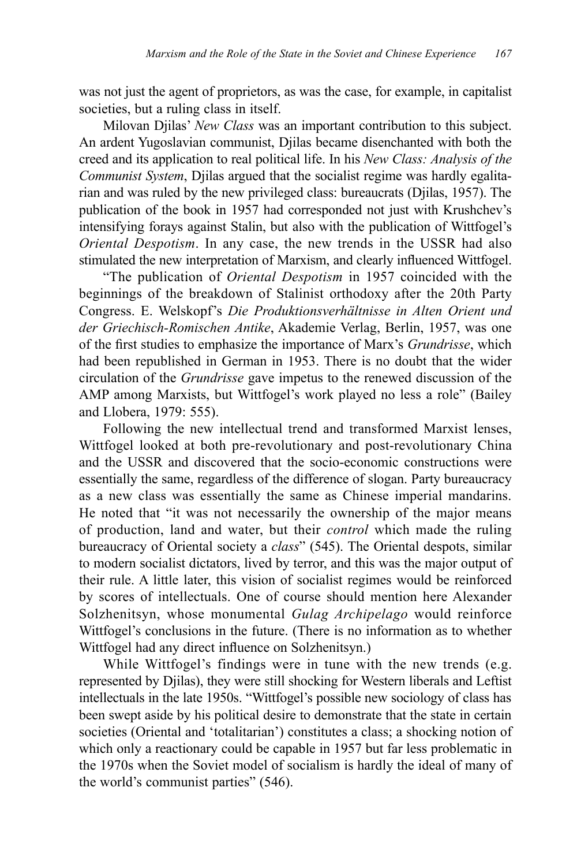was not just the agent of proprietors, as was the case, for example, in capitalist societies, but a ruling class in itself.

Milovan Djilas' *New Class* was an important contribution to this subject. An ardent Yugoslavian communist, Djilas became disenchanted with both the creed and its application to real political life. In his *New Class: Analysis of the Communist System*, Djilas argued that the socialist regime was hardly egalitarian and was ruled by the new privileged class: bureaucrats (Djilas, 1957). The publication of the book in 1957 had corresponded not just with Krushchev's intensifying forays against Stalin, but also with the publication of Wittfogel's *Oriental Despotism*. In any case, the new trends in the USSR had also stimulated the new interpretation of Marxism, and clearly influenced Wittfogel.

"The publication of *Oriental Despotism* in 1957 coincided with the beginnings of the breakdown of Stalinist orthodoxy after the 20th Party Congress. E. Welskopf's *Die Produktionsverhältnisse in Alten Orient und der Griechisch-Romischen Antike*, Akademie Verlag, Berlin, 1957, was one of the first studies to emphasize the importance of Marx's *Grundrisse*, which had been republished in German in 1953. There is no doubt that the wider circulation of the *Grundrisse* gave impetus to the renewed discussion of the AMP among Marxists, but Wittfogel's work played no less a role" (Bailey and Llobera, 1979: 555).

Following the new intellectual trend and transformed Marxist lenses, Wittfogel looked at both pre-revolutionary and post-revolutionary China and the USSR and discovered that the socio-economic constructions were essentially the same, regardless of the difference of slogan. Party bureaucracy as a new class was essentially the same as Chinese imperial mandarins. He noted that "it was not necessarily the ownership of the major means of production, land and water, but their *control* which made the ruling bureaucracy of Oriental society a *class*" (545). The Oriental despots, similar to modern socialist dictators, lived by terror, and this was the major output of their rule. A little later, this vision of socialist regimes would be reinforced by scores of intellectuals. One of course should mention here Alexander Solzhenitsyn, whose monumental *Gulag Archipelago* would reinforce Wittfogel's conclusions in the future. (There is no information as to whether Wittfogel had any direct influence on Solzhenitsyn.)

While Wittfogel's findings were in tune with the new trends (e.g. represented by Djilas), they were still shocking for Western liberals and Leftist intellectuals in the late 1950s. "Wittfogel's possible new sociology of class has been swept aside by his political desire to demonstrate that the state in certain societies (Oriental and 'totalitarian') constitutes a class; a shocking notion of which only a reactionary could be capable in 1957 but far less problematic in the 1970s when the Soviet model of socialism is hardly the ideal of many of the world's communist parties" (546).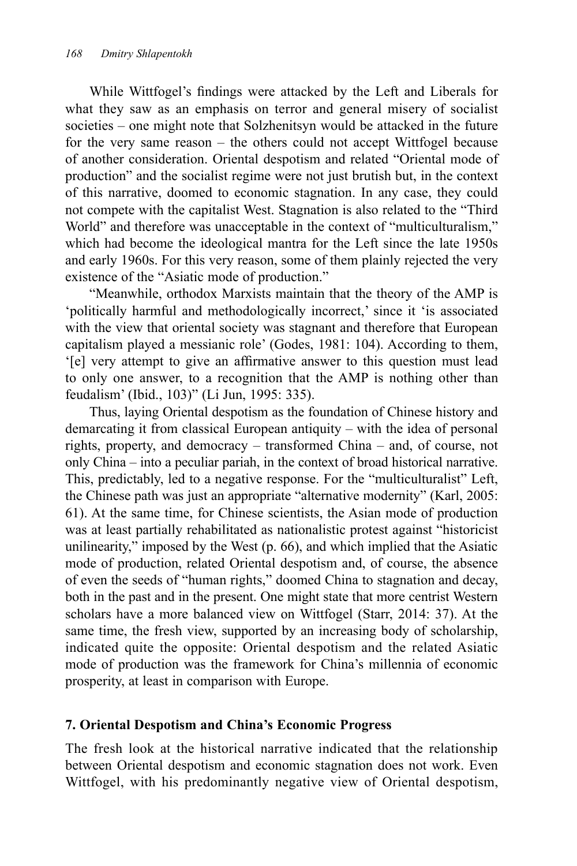While Wittfogel's findings were attacked by the Left and Liberals for what they saw as an emphasis on terror and general misery of socialist societies – one might note that Solzhenitsyn would be attacked in the future for the very same reason – the others could not accept Wittfogel because of another consideration. Oriental despotism and related "Oriental mode of production" and the socialist regime were not just brutish but, in the context of this narrative, doomed to economic stagnation. In any case, they could not compete with the capitalist West. Stagnation is also related to the "Third World" and therefore was unacceptable in the context of "multiculturalism," which had become the ideological mantra for the Left since the late 1950s and early 1960s. For this very reason, some of them plainly rejected the very existence of the "Asiatic mode of production."

"Meanwhile, orthodox Marxists maintain that the theory of the AMP is 'politically harmful and methodologically incorrect,' since it 'is associated with the view that oriental society was stagnant and therefore that European capitalism played a messianic role' (Godes, 1981: 104). According to them, '[e] very attempt to give an affirmative answer to this question must lead to only one answer, to a recognition that the AMP is nothing other than feudalism' (Ibid., 103)" (Li Jun, 1995: 335).

Thus, laying Oriental despotism as the foundation of Chinese history and demarcating it from classical European antiquity – with the idea of personal rights, property, and democracy – transformed China – and, of course, not only China – into a peculiar pariah, in the context of broad historical narrative. This, predictably, led to a negative response. For the "multiculturalist" Left, the Chinese path was just an appropriate "alternative modernity" (Karl, 2005: 61). At the same time, for Chinese scientists, the Asian mode of production was at least partially rehabilitated as nationalistic protest against "historicist unilinearity," imposed by the West (p. 66), and which implied that the Asiatic mode of production, related Oriental despotism and, of course, the absence of even the seeds of "human rights," doomed China to stagnation and decay, both in the past and in the present. One might state that more centrist Western scholars have a more balanced view on Wittfogel (Starr, 2014: 37). At the same time, the fresh view, supported by an increasing body of scholarship, indicated quite the opposite: Oriental despotism and the related Asiatic mode of production was the framework for China's millennia of economic prosperity, at least in comparison with Europe.

## **7. Oriental Despotism and China's Economic Progress**

The fresh look at the historical narrative indicated that the relationship between Oriental despotism and economic stagnation does not work. Even Wittfogel, with his predominantly negative view of Oriental despotism,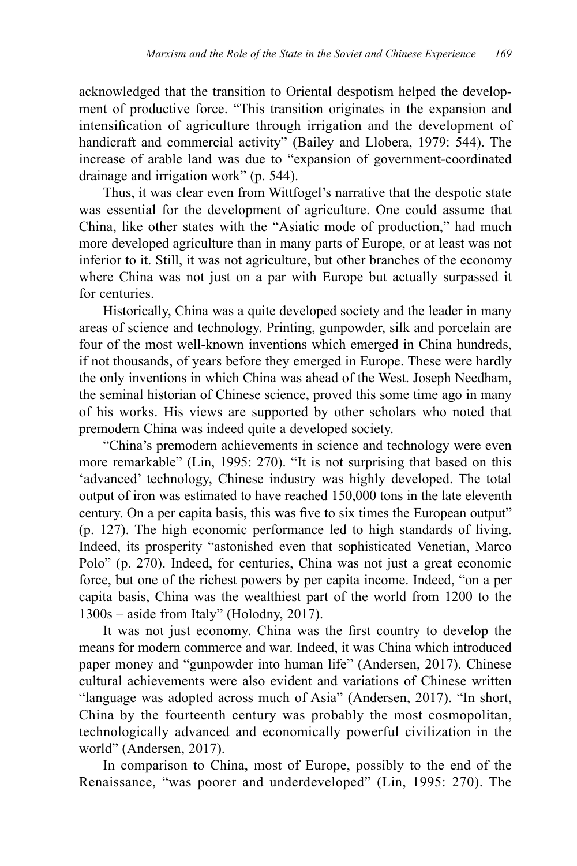acknowledged that the transition to Oriental despotism helped the development of productive force. "This transition originates in the expansion and intensification of agriculture through irrigation and the development of handicraft and commercial activity" (Bailey and Llobera, 1979: 544). The increase of arable land was due to "expansion of government-coordinated drainage and irrigation work" (p. 544).

Thus, it was clear even from Wittfogel's narrative that the despotic state was essential for the development of agriculture. One could assume that China, like other states with the "Asiatic mode of production," had much more developed agriculture than in many parts of Europe, or at least was not inferior to it. Still, it was not agriculture, but other branches of the economy where China was not just on a par with Europe but actually surpassed it for centuries.

Historically, China was a quite developed society and the leader in many areas of science and technology. Printing, gunpowder, silk and porcelain are four of the most well-known inventions which emerged in China hundreds, if not thousands, of years before they emerged in Europe. These were hardly the only inventions in which China was ahead of the West. Joseph Needham, the seminal historian of Chinese science, proved this some time ago in many of his works. His views are supported by other scholars who noted that premodern China was indeed quite a developed society.

"China's premodern achievements in science and technology were even more remarkable" (Lin, 1995: 270). "It is not surprising that based on this 'advanced' technology, Chinese industry was highly developed. The total output of iron was estimated to have reached 150,000 tons in the late eleventh century. On a per capita basis, this was five to six times the European output" (p. 127). The high economic performance led to high standards of living. Indeed, its prosperity "astonished even that sophisticated Venetian, Marco Polo" (p. 270). Indeed, for centuries, China was not just a great economic force, but one of the richest powers by per capita income. Indeed, "on a per capita basis, China was the wealthiest part of the world from 1200 to the 1300s – aside from Italy" (Holodny, 2017).

It was not just economy. China was the first country to develop the means for modern commerce and war. Indeed, it was China which introduced paper money and "gunpowder into human life" (Andersen, 2017). Chinese cultural achievements were also evident and variations of Chinese written "language was adopted across much of Asia" (Andersen, 2017). "In short, China by the fourteenth century was probably the most cosmopolitan, technologically advanced and economically powerful civilization in the world" (Andersen, 2017).

In comparison to China, most of Europe, possibly to the end of the Renaissance, "was poorer and underdeveloped" (Lin, 1995: 270). The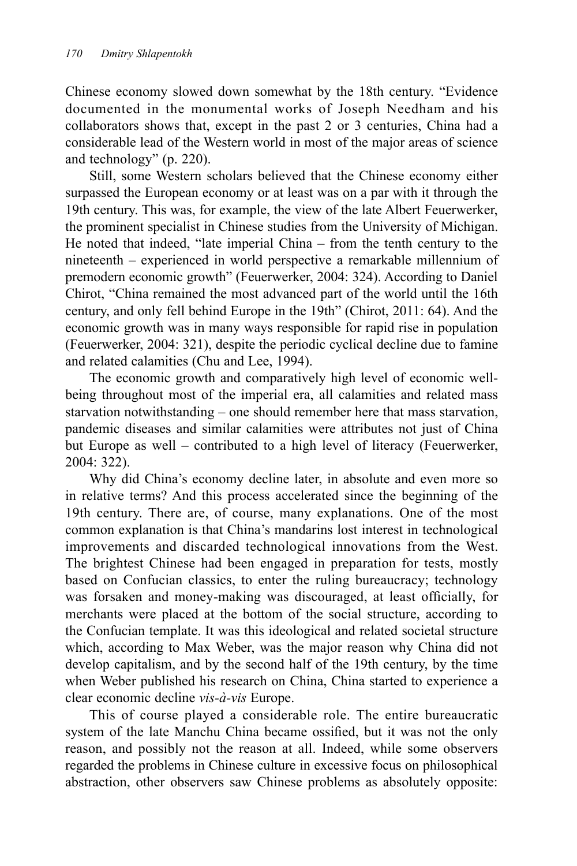Chinese economy slowed down somewhat by the 18th century. "Evidence documented in the monumental works of Joseph Needham and his collaborators shows that, except in the past 2 or 3 centuries, China had a considerable lead of the Western world in most of the major areas of science and technology" (p. 220).

Still, some Western scholars believed that the Chinese economy either surpassed the European economy or at least was on a par with it through the 19th century. This was, for example, the view of the late Albert Feuerwerker, the prominent specialist in Chinese studies from the University of Michigan. He noted that indeed, "late imperial China – from the tenth century to the nineteenth – experienced in world perspective a remarkable millennium of premodern economic growth" (Feuerwerker, 2004: 324). According to Daniel Chirot, "China remained the most advanced part of the world until the 16th century, and only fell behind Europe in the 19th" (Chirot, 2011: 64). And the economic growth was in many ways responsible for rapid rise in population (Feuerwerker, 2004: 321), despite the periodic cyclical decline due to famine and related calamities (Chu and Lee, 1994).

The economic growth and comparatively high level of economic wellbeing throughout most of the imperial era, all calamities and related mass starvation notwithstanding – one should remember here that mass starvation, pandemic diseases and similar calamities were attributes not just of China but Europe as well – contributed to a high level of literacy (Feuerwerker, 2004: 322).

Why did China's economy decline later, in absolute and even more so in relative terms? And this process accelerated since the beginning of the 19th century. There are, of course, many explanations. One of the most common explanation is that China's mandarins lost interest in technological improvements and discarded technological innovations from the West. The brightest Chinese had been engaged in preparation for tests, mostly based on Confucian classics, to enter the ruling bureaucracy; technology was forsaken and money-making was discouraged, at least officially, for merchants were placed at the bottom of the social structure, according to the Confucian template. It was this ideological and related societal structure which, according to Max Weber, was the major reason why China did not develop capitalism, and by the second half of the 19th century, by the time when Weber published his research on China, China started to experience a clear economic decline *vis-à-vis* Europe.

This of course played a considerable role. The entire bureaucratic system of the late Manchu China became ossified, but it was not the only reason, and possibly not the reason at all. Indeed, while some observers regarded the problems in Chinese culture in excessive focus on philosophical abstraction, other observers saw Chinese problems as absolutely opposite: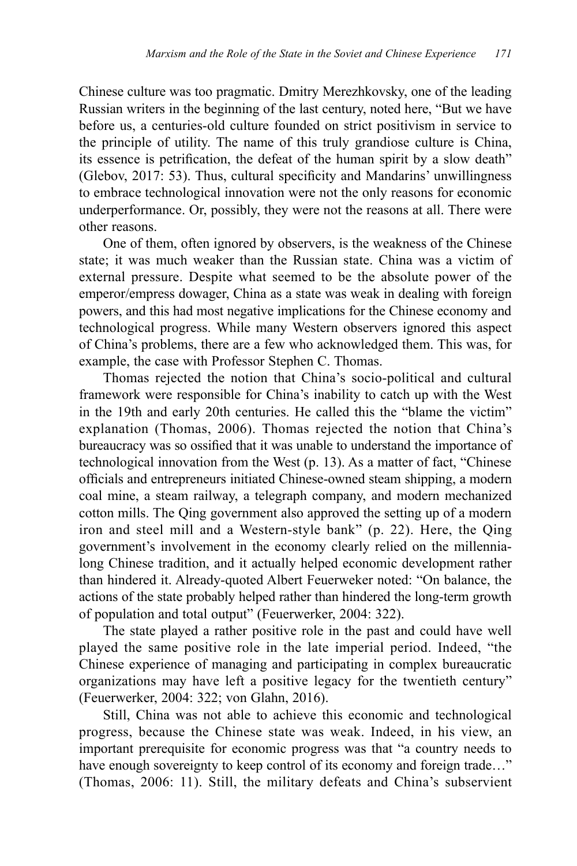Chinese culture was too pragmatic. Dmitry Merezhkovsky, one of the leading Russian writers in the beginning of the last century, noted here, "But we have before us, a centuries-old culture founded on strict positivism in service to the principle of utility. The name of this truly grandiose culture is China, its essence is petrification, the defeat of the human spirit by a slow death" (Glebov, 2017: 53). Thus, cultural specificity and Mandarins' unwillingness to embrace technological innovation were not the only reasons for economic underperformance. Or, possibly, they were not the reasons at all. There were other reasons.

One of them, often ignored by observers, is the weakness of the Chinese state; it was much weaker than the Russian state. China was a victim of external pressure. Despite what seemed to be the absolute power of the emperor/empress dowager, China as a state was weak in dealing with foreign powers, and this had most negative implications for the Chinese economy and technological progress. While many Western observers ignored this aspect of China's problems, there are a few who acknowledged them. This was, for example, the case with Professor Stephen C. Thomas.

Thomas rejected the notion that China's socio-political and cultural framework were responsible for China's inability to catch up with the West in the 19th and early 20th centuries. He called this the "blame the victim" explanation (Thomas, 2006). Thomas rejected the notion that China's bureaucracy was so ossified that it was unable to understand the importance of technological innovation from the West (p. 13). As a matter of fact, "Chinese officials and entrepreneurs initiated Chinese-owned steam shipping, a modern coal mine, a steam railway, a telegraph company, and modern mechanized cotton mills. The Qing government also approved the setting up of a modern iron and steel mill and a Western-style bank" (p. 22). Here, the Qing government's involvement in the economy clearly relied on the millennialong Chinese tradition, and it actually helped economic development rather than hindered it. Already-quoted Albert Feuerweker noted: "On balance, the actions of the state probably helped rather than hindered the long-term growth of population and total output" (Feuerwerker, 2004: 322).

The state played a rather positive role in the past and could have well played the same positive role in the late imperial period. Indeed, "the Chinese experience of managing and participating in complex bureaucratic organizations may have left a positive legacy for the twentieth century" (Feuerwerker, 2004: 322; von Glahn, 2016).

Still, China was not able to achieve this economic and technological progress, because the Chinese state was weak. Indeed, in his view, an important prerequisite for economic progress was that "a country needs to have enough sovereignty to keep control of its economy and foreign trade..." (Thomas, 2006: 11). Still, the military defeats and China's subservient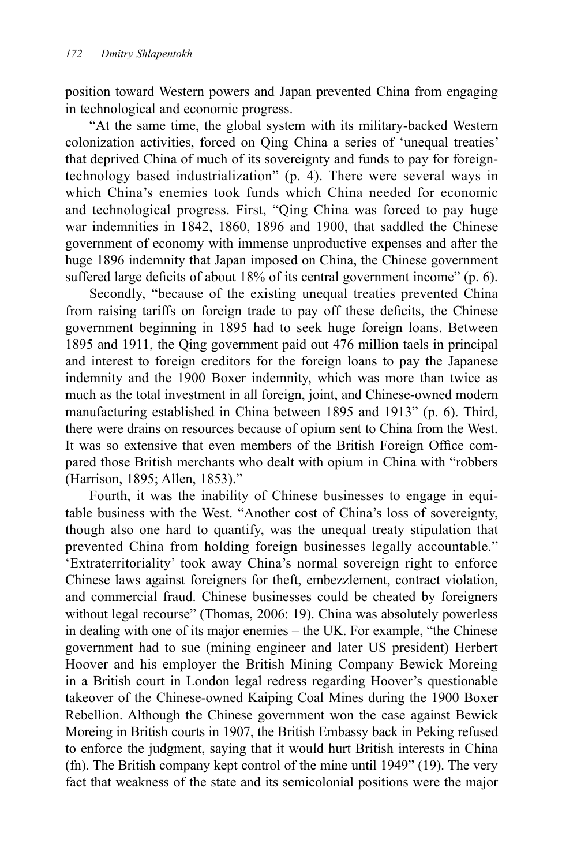position toward Western powers and Japan prevented China from engaging in technological and economic progress.

"At the same time, the global system with its military-backed Western colonization activities, forced on Qing China a series of 'unequal treaties' that deprived China of much of its sovereignty and funds to pay for foreigntechnology based industrialization" (p. 4). There were several ways in which China's enemies took funds which China needed for economic and technological progress. First, "Qing China was forced to pay huge war indemnities in 1842, 1860, 1896 and 1900, that saddled the Chinese government of economy with immense unproductive expenses and after the huge 1896 indemnity that Japan imposed on China, the Chinese government suffered large deficits of about 18% of its central government income" (p. 6).

Secondly, "because of the existing unequal treaties prevented China from raising tariffs on foreign trade to pay off these deficits, the Chinese government beginning in 1895 had to seek huge foreign loans. Between 1895 and 1911, the Qing government paid out 476 million taels in principal and interest to foreign creditors for the foreign loans to pay the Japanese indemnity and the 1900 Boxer indemnity, which was more than twice as much as the total investment in all foreign, joint, and Chinese-owned modern manufacturing established in China between 1895 and 1913" (p. 6). Third, there were drains on resources because of opium sent to China from the West. It was so extensive that even members of the British Foreign Office compared those British merchants who dealt with opium in China with "robbers (Harrison, 1895; Allen, 1853)."

Fourth, it was the inability of Chinese businesses to engage in equitable business with the West. "Another cost of China's loss of sovereignty, though also one hard to quantify, was the unequal treaty stipulation that prevented China from holding foreign businesses legally accountable." 'Extraterritoriality' took away China's normal sovereign right to enforce Chinese laws against foreigners for theft, embezzlement, contract violation, and commercial fraud. Chinese businesses could be cheated by foreigners without legal recourse" (Thomas, 2006: 19). China was absolutely powerless in dealing with one of its major enemies – the UK. For example, "the Chinese government had to sue (mining engineer and later US president) Herbert Hoover and his employer the British Mining Company Bewick Moreing in a British court in London legal redress regarding Hoover's questionable takeover of the Chinese-owned Kaiping Coal Mines during the 1900 Boxer Rebellion. Although the Chinese government won the case against Bewick Moreing in British courts in 1907, the British Embassy back in Peking refused to enforce the judgment, saying that it would hurt British interests in China (fn). The British company kept control of the mine until 1949" (19). The very fact that weakness of the state and its semicolonial positions were the major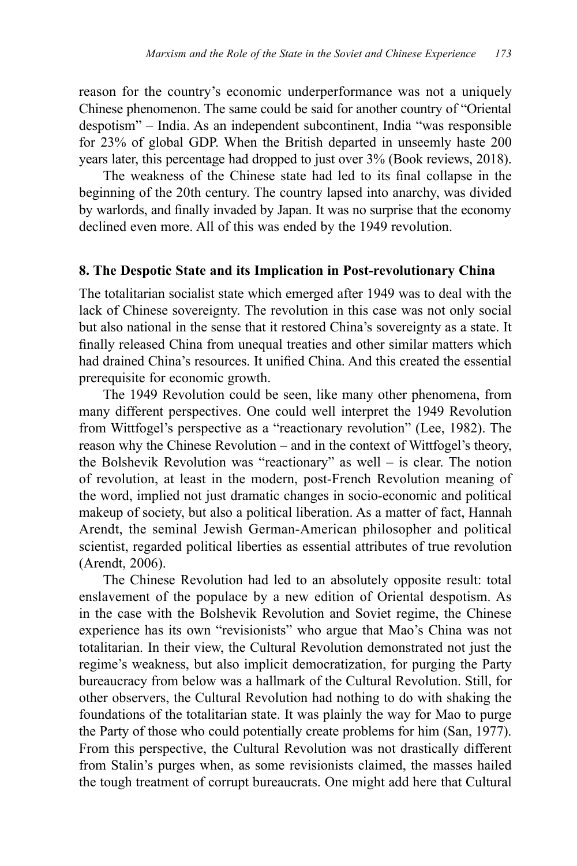reason for the country's economic underperformance was not a uniquely Chinese phenomenon. The same could be said for another country of "Oriental despotism" – India. As an independent subcontinent, India "was responsible for 23% of global GDP. When the British departed in unseemly haste 200 years later, this percentage had dropped to just over 3% (Book reviews, 2018).

The weakness of the Chinese state had led to its final collapse in the beginning of the 20th century. The country lapsed into anarchy, was divided by warlords, and finally invaded by Japan. It was no surprise that the economy declined even more. All of this was ended by the 1949 revolution.

#### **8. The Despotic State and its Implication in Post-revolutionary China**

The totalitarian socialist state which emerged after 1949 was to deal with the lack of Chinese sovereignty. The revolution in this case was not only social but also national in the sense that it restored China's sovereignty as a state. It finally released China from unequal treaties and other similar matters which had drained China's resources. It unified China. And this created the essential prerequisite for economic growth.

The 1949 Revolution could be seen, like many other phenomena, from many different perspectives. One could well interpret the 1949 Revolution from Wittfogel's perspective as a "reactionary revolution" (Lee, 1982). The reason why the Chinese Revolution – and in the context of Wittfogel's theory, the Bolshevik Revolution was "reactionary" as well – is clear. The notion of revolution, at least in the modern, post-French Revolution meaning of the word, implied not just dramatic changes in socio-economic and political makeup of society, but also a political liberation. As a matter of fact, Hannah Arendt, the seminal Jewish German-American philosopher and political scientist, regarded political liberties as essential attributes of true revolution (Arendt, 2006).

The Chinese Revolution had led to an absolutely opposite result: total enslavement of the populace by a new edition of Oriental despotism. As in the case with the Bolshevik Revolution and Soviet regime, the Chinese experience has its own "revisionists" who argue that Mao's China was not totalitarian. In their view, the Cultural Revolution demonstrated not just the regime's weakness, but also implicit democratization, for purging the Party bureaucracy from below was a hallmark of the Cultural Revolution. Still, for other observers, the Cultural Revolution had nothing to do with shaking the foundations of the totalitarian state. It was plainly the way for Mao to purge the Party of those who could potentially create problems for him (San, 1977). From this perspective, the Cultural Revolution was not drastically different from Stalin's purges when, as some revisionists claimed, the masses hailed the tough treatment of corrupt bureaucrats. One might add here that Cultural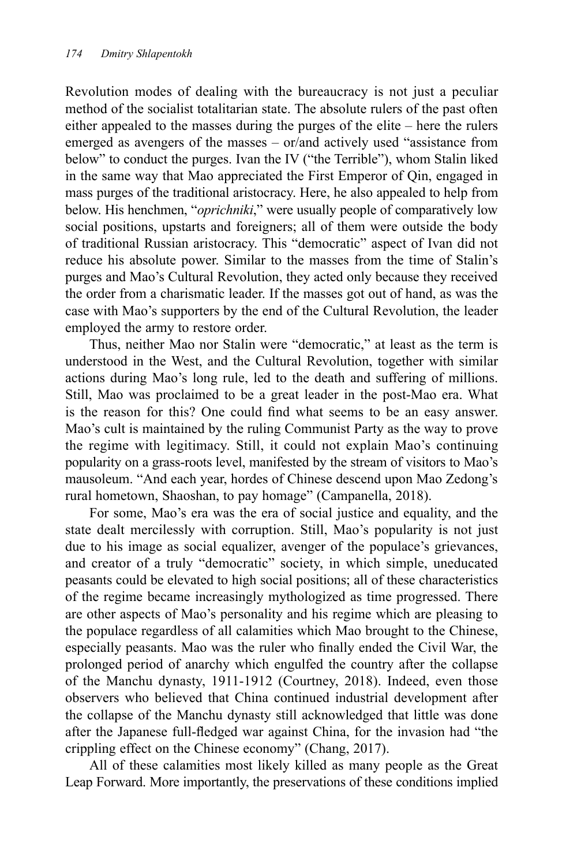Revolution modes of dealing with the bureaucracy is not just a peculiar method of the socialist totalitarian state. The absolute rulers of the past often either appealed to the masses during the purges of the elite – here the rulers emerged as avengers of the masses – or/and actively used "assistance from below" to conduct the purges. Ivan the IV ("the Terrible"), whom Stalin liked in the same way that Mao appreciated the First Emperor of Qin, engaged in mass purges of the traditional aristocracy. Here, he also appealed to help from below. His henchmen, "*oprichniki*," were usually people of comparatively low social positions, upstarts and foreigners; all of them were outside the body of traditional Russian aristocracy. This "democratic" aspect of Ivan did not reduce his absolute power. Similar to the masses from the time of Stalin's purges and Mao's Cultural Revolution, they acted only because they received the order from a charismatic leader. If the masses got out of hand, as was the case with Mao's supporters by the end of the Cultural Revolution, the leader employed the army to restore order.

Thus, neither Mao nor Stalin were "democratic," at least as the term is understood in the West, and the Cultural Revolution, together with similar actions during Mao's long rule, led to the death and suffering of millions. Still, Mao was proclaimed to be a great leader in the post-Mao era. What is the reason for this? One could find what seems to be an easy answer. Mao's cult is maintained by the ruling Communist Party as the way to prove the regime with legitimacy. Still, it could not explain Mao's continuing popularity on a grass-roots level, manifested by the stream of visitors to Mao's mausoleum. "And each year, hordes of Chinese descend upon Mao Zedong's rural hometown, Shaoshan, to pay homage" (Campanella, 2018).

For some, Mao's era was the era of social justice and equality, and the state dealt mercilessly with corruption. Still, Mao's popularity is not just due to his image as social equalizer, avenger of the populace's grievances, and creator of a truly "democratic" society, in which simple, uneducated peasants could be elevated to high social positions; all of these characteristics of the regime became increasingly mythologized as time progressed. There are other aspects of Mao's personality and his regime which are pleasing to the populace regardless of all calamities which Mao brought to the Chinese, especially peasants. Mao was the ruler who finally ended the Civil War, the prolonged period of anarchy which engulfed the country after the collapse of the Manchu dynasty, 1911-1912 (Courtney, 2018). Indeed, even those observers who believed that China continued industrial development after the collapse of the Manchu dynasty still acknowledged that little was done after the Japanese full-fledged war against China, for the invasion had "the crippling effect on the Chinese economy" (Chang, 2017).

All of these calamities most likely killed as many people as the Great Leap Forward. More importantly, the preservations of these conditions implied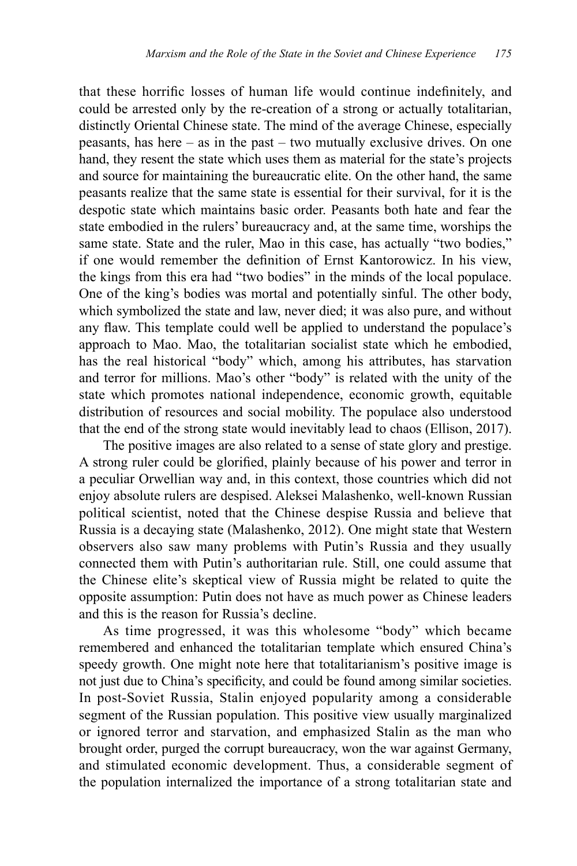that these horrific losses of human life would continue indefinitely, and could be arrested only by the re-creation of a strong or actually totalitarian, distinctly Oriental Chinese state. The mind of the average Chinese, especially peasants, has here – as in the past – two mutually exclusive drives. On one hand, they resent the state which uses them as material for the state's projects and source for maintaining the bureaucratic elite. On the other hand, the same peasants realize that the same state is essential for their survival, for it is the despotic state which maintains basic order. Peasants both hate and fear the state embodied in the rulers' bureaucracy and, at the same time, worships the same state. State and the ruler, Mao in this case, has actually "two bodies," if one would remember the definition of Ernst Kantorowicz. In his view, the kings from this era had "two bodies" in the minds of the local populace. One of the king's bodies was mortal and potentially sinful. The other body, which symbolized the state and law, never died; it was also pure, and without any flaw. This template could well be applied to understand the populace's approach to Mao. Mao, the totalitarian socialist state which he embodied, has the real historical "body" which, among his attributes, has starvation and terror for millions. Mao's other "body" is related with the unity of the state which promotes national independence, economic growth, equitable distribution of resources and social mobility. The populace also understood that the end of the strong state would inevitably lead to chaos (Ellison, 2017).

The positive images are also related to a sense of state glory and prestige. A strong ruler could be glorified, plainly because of his power and terror in a peculiar Orwellian way and, in this context, those countries which did not enjoy absolute rulers are despised. Aleksei Malashenko, well-known Russian political scientist, noted that the Chinese despise Russia and believe that Russia is a decaying state (Malashenko, 2012). One might state that Western observers also saw many problems with Putin's Russia and they usually connected them with Putin's authoritarian rule. Still, one could assume that the Chinese elite's skeptical view of Russia might be related to quite the opposite assumption: Putin does not have as much power as Chinese leaders and this is the reason for Russia's decline.

As time progressed, it was this wholesome "body" which became remembered and enhanced the totalitarian template which ensured China's speedy growth. One might note here that totalitarianism's positive image is not just due to China's specificity, and could be found among similar societies. In post-Soviet Russia, Stalin enjoyed popularity among a considerable segment of the Russian population. This positive view usually marginalized or ignored terror and starvation, and emphasized Stalin as the man who brought order, purged the corrupt bureaucracy, won the war against Germany, and stimulated economic development. Thus, a considerable segment of the population internalized the importance of a strong totalitarian state and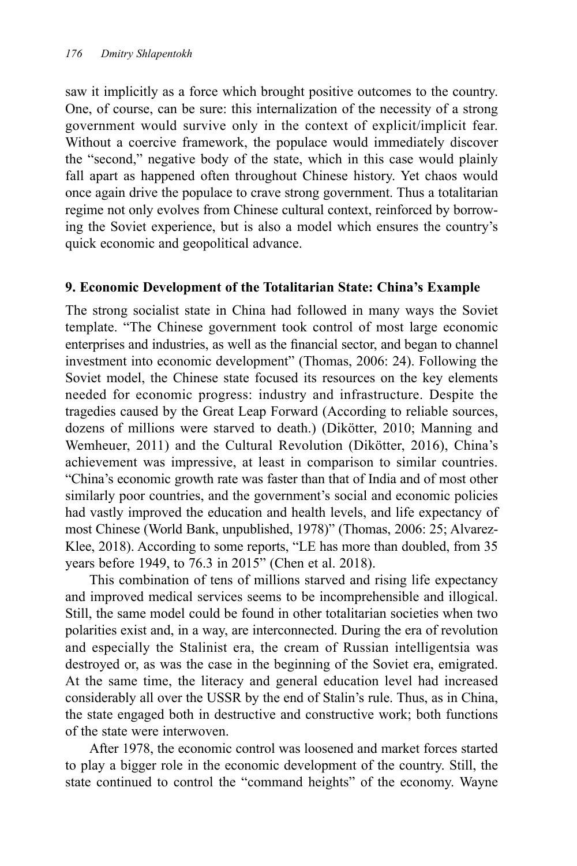saw it implicitly as a force which brought positive outcomes to the country. One, of course, can be sure: this internalization of the necessity of a strong government would survive only in the context of explicit/implicit fear. Without a coercive framework, the populace would immediately discover the "second," negative body of the state, which in this case would plainly fall apart as happened often throughout Chinese history. Yet chaos would once again drive the populace to crave strong government. Thus a totalitarian regime not only evolves from Chinese cultural context, reinforced by borrowing the Soviet experience, but is also a model which ensures the country's quick economic and geopolitical advance.

## **9. Economic Development of the Totalitarian State: China's Example**

The strong socialist state in China had followed in many ways the Soviet template. "The Chinese government took control of most large economic enterprises and industries, as well as the financial sector, and began to channel investment into economic development" (Thomas, 2006: 24). Following the Soviet model, the Chinese state focused its resources on the key elements needed for economic progress: industry and infrastructure. Despite the tragedies caused by the Great Leap Forward (According to reliable sources, dozens of millions were starved to death.) (Dikötter, 2010; Manning and Wemheuer, 2011) and the Cultural Revolution (Dikötter, 2016), China's achievement was impressive, at least in comparison to similar countries. "China's economic growth rate was faster than that of India and of most other similarly poor countries, and the government's social and economic policies had vastly improved the education and health levels, and life expectancy of most Chinese (World Bank, unpublished, 1978)" (Thomas, 2006: 25; Alvarez-Klee, 2018). According to some reports, "LE has more than doubled, from 35 years before 1949, to 76.3 in 2015" (Chen et al. 2018).

This combination of tens of millions starved and rising life expectancy and improved medical services seems to be incomprehensible and illogical. Still, the same model could be found in other totalitarian societies when two polarities exist and, in a way, are interconnected. During the era of revolution and especially the Stalinist era, the cream of Russian intelligentsia was destroyed or, as was the case in the beginning of the Soviet era, emigrated. At the same time, the literacy and general education level had increased considerably all over the USSR by the end of Stalin's rule. Thus, as in China, the state engaged both in destructive and constructive work; both functions of the state were interwoven.

After 1978, the economic control was loosened and market forces started to play a bigger role in the economic development of the country. Still, the state continued to control the "command heights" of the economy. Wayne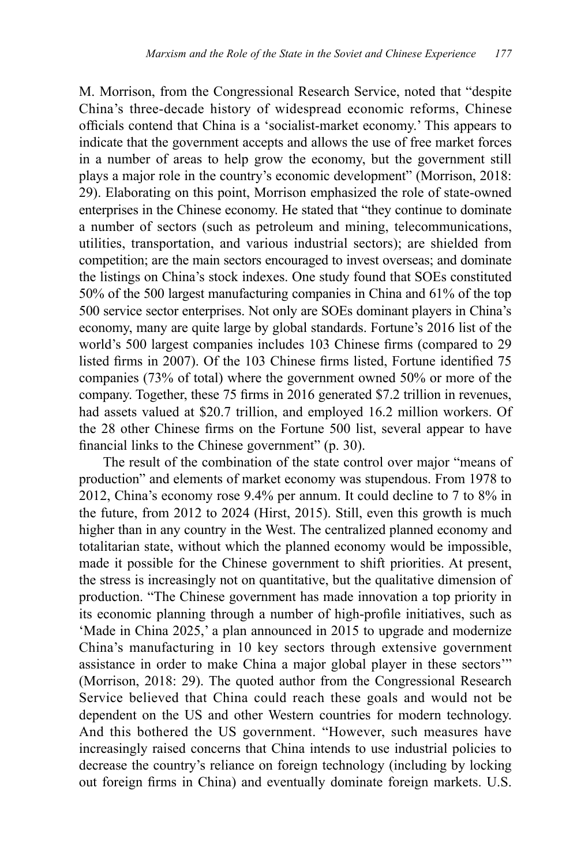M. Morrison, from the Congressional Research Service, noted that "despite China's three-decade history of widespread economic reforms, Chinese officials contend that China is a 'socialist-market economy.' This appears to indicate that the government accepts and allows the use of free market forces in a number of areas to help grow the economy, but the government still plays a major role in the country's economic development" (Morrison, 2018: 29). Elaborating on this point, Morrison emphasized the role of state-owned enterprises in the Chinese economy. He stated that "they continue to dominate a number of sectors (such as petroleum and mining, telecommunications, utilities, transportation, and various industrial sectors); are shielded from competition; are the main sectors encouraged to invest overseas; and dominate the listings on China's stock indexes. One study found that SOEs constituted 50% of the 500 largest manufacturing companies in China and 61% of the top 500 service sector enterprises. Not only are SOEs dominant players in China's economy, many are quite large by global standards. Fortune's 2016 list of the world's 500 largest companies includes 103 Chinese firms (compared to 29 listed firms in 2007). Of the 103 Chinese firms listed, Fortune identified 75 companies (73% of total) where the government owned 50% or more of the company. Together, these 75 firms in 2016 generated \$7.2 trillion in revenues, had assets valued at \$20.7 trillion, and employed 16.2 million workers. Of the 28 other Chinese firms on the Fortune 500 list, several appear to have financial links to the Chinese government" (p. 30).

The result of the combination of the state control over major "means of production" and elements of market economy was stupendous. From 1978 to 2012, China's economy rose 9.4% per annum. It could decline to 7 to 8% in the future, from 2012 to 2024 (Hirst, 2015). Still, even this growth is much higher than in any country in the West. The centralized planned economy and totalitarian state, without which the planned economy would be impossible, made it possible for the Chinese government to shift priorities. At present, the stress is increasingly not on quantitative, but the qualitative dimension of production. "The Chinese government has made innovation a top priority in its economic planning through a number of high-profile initiatives, such as 'Made in China 2025,' a plan announced in 2015 to upgrade and modernize China's manufacturing in 10 key sectors through extensive government assistance in order to make China a major global player in these sectors'" (Morrison, 2018: 29). The quoted author from the Congressional Research Service believed that China could reach these goals and would not be dependent on the US and other Western countries for modern technology. And this bothered the US government. "However, such measures have increasingly raised concerns that China intends to use industrial policies to decrease the country's reliance on foreign technology (including by locking out foreign firms in China) and eventually dominate foreign markets. U.S.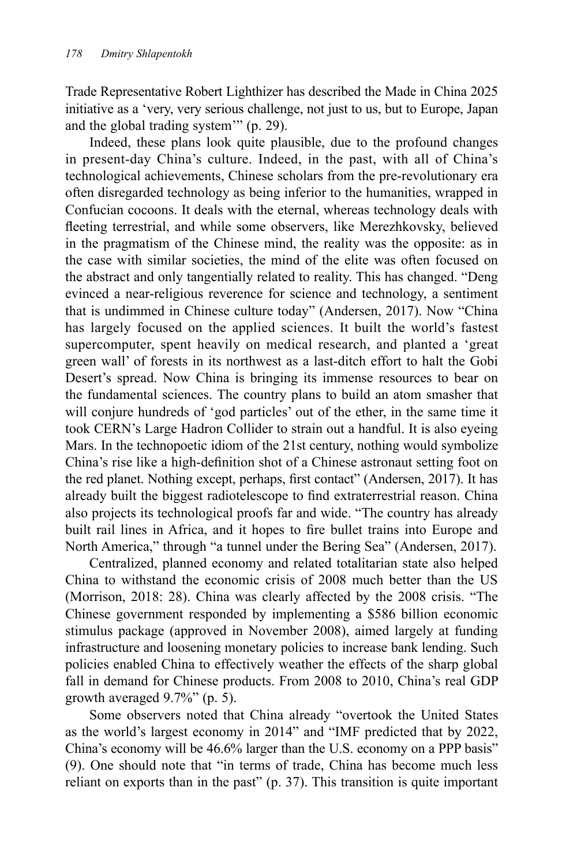Trade Representative Robert Lighthizer has described the Made in China 2025 initiative as a 'very, very serious challenge, not just to us, but to Europe, Japan and the global trading system'" (p. 29).

Indeed, these plans look quite plausible, due to the profound changes in present-day China's culture. Indeed, in the past, with all of China's technological achievements, Chinese scholars from the pre-revolutionary era often disregarded technology as being inferior to the humanities, wrapped in Confucian cocoons. It deals with the eternal, whereas technology deals with fleeting terrestrial, and while some observers, like Merezhkovsky, believed in the pragmatism of the Chinese mind, the reality was the opposite: as in the case with similar societies, the mind of the elite was often focused on the abstract and only tangentially related to reality. This has changed. "Deng evinced a near-religious reverence for science and technology, a sentiment that is undimmed in Chinese culture today" (Andersen, 2017). Now "China has largely focused on the applied sciences. It built the world's fastest supercomputer, spent heavily on medical research, and planted a 'great green wall' of forests in its northwest as a last-ditch effort to halt the Gobi Desert's spread. Now China is bringing its immense resources to bear on the fundamental sciences. The country plans to build an atom smasher that will conjure hundreds of 'god particles' out of the ether, in the same time it took CERN's Large Hadron Collider to strain out a handful. It is also eyeing Mars. In the technopoetic idiom of the 21st century, nothing would symbolize China's rise like a high-definition shot of a Chinese astronaut setting foot on the red planet. Nothing except, perhaps, first contact" (Andersen, 2017). It has already built the biggest radiotelescope to find extraterrestrial reason. China also projects its technological proofs far and wide. "The country has already built rail lines in Africa, and it hopes to fire bullet trains into Europe and North America," through "a tunnel under the Bering Sea" (Andersen, 2017).

Centralized, planned economy and related totalitarian state also helped China to withstand the economic crisis of 2008 much better than the US (Morrison, 2018: 28). China was clearly affected by the 2008 crisis. "The Chinese government responded by implementing a \$586 billion economic stimulus package (approved in November 2008), aimed largely at funding infrastructure and loosening monetary policies to increase bank lending. Such policies enabled China to effectively weather the effects of the sharp global fall in demand for Chinese products. From 2008 to 2010, China's real GDP growth averaged 9.7%" (p. 5).

Some observers noted that China already "overtook the United States as the world's largest economy in 2014" and "IMF predicted that by 2022, China's economy will be 46.6% larger than the U.S. economy on a PPP basis" (9). One should note that "in terms of trade, China has become much less reliant on exports than in the past" (p. 37). This transition is quite important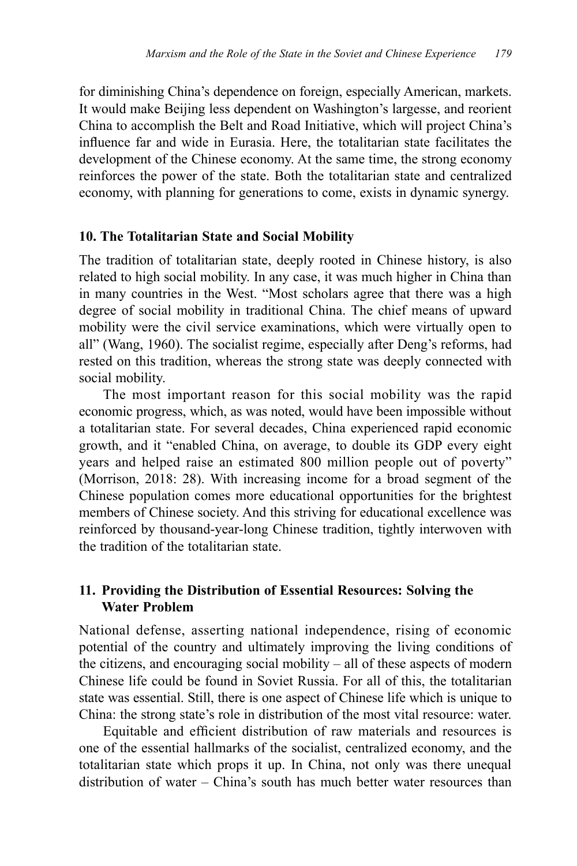for diminishing China's dependence on foreign, especially American, markets. It would make Beijing less dependent on Washington's largesse, and reorient China to accomplish the Belt and Road Initiative, which will project China's influence far and wide in Eurasia. Here, the totalitarian state facilitates the development of the Chinese economy. At the same time, the strong economy reinforces the power of the state. Both the totalitarian state and centralized economy, with planning for generations to come, exists in dynamic synergy.

#### **10. The Totalitarian State and Social Mobility**

The tradition of totalitarian state, deeply rooted in Chinese history, is also related to high social mobility. In any case, it was much higher in China than in many countries in the West. "Most scholars agree that there was a high degree of social mobility in traditional China. The chief means of upward mobility were the civil service examinations, which were virtually open to all" (Wang, 1960). The socialist regime, especially after Deng's reforms, had rested on this tradition, whereas the strong state was deeply connected with social mobility.

The most important reason for this social mobility was the rapid economic progress, which, as was noted, would have been impossible without a totalitarian state. For several decades, China experienced rapid economic growth, and it "enabled China, on average, to double its GDP every eight years and helped raise an estimated 800 million people out of poverty" (Morrison, 2018: 28). With increasing income for a broad segment of the Chinese population comes more educational opportunities for the brightest members of Chinese society. And this striving for educational excellence was reinforced by thousand-year-long Chinese tradition, tightly interwoven with the tradition of the totalitarian state.

#### **11. Providing the Distribution of Essential Resources: Solving the Water Problem**

National defense, asserting national independence, rising of economic potential of the country and ultimately improving the living conditions of the citizens, and encouraging social mobility – all of these aspects of modern Chinese life could be found in Soviet Russia. For all of this, the totalitarian state was essential. Still, there is one aspect of Chinese life which is unique to China: the strong state's role in distribution of the most vital resource: water.

Equitable and efficient distribution of raw materials and resources is one of the essential hallmarks of the socialist, centralized economy, and the totalitarian state which props it up. In China, not only was there unequal distribution of water – China's south has much better water resources than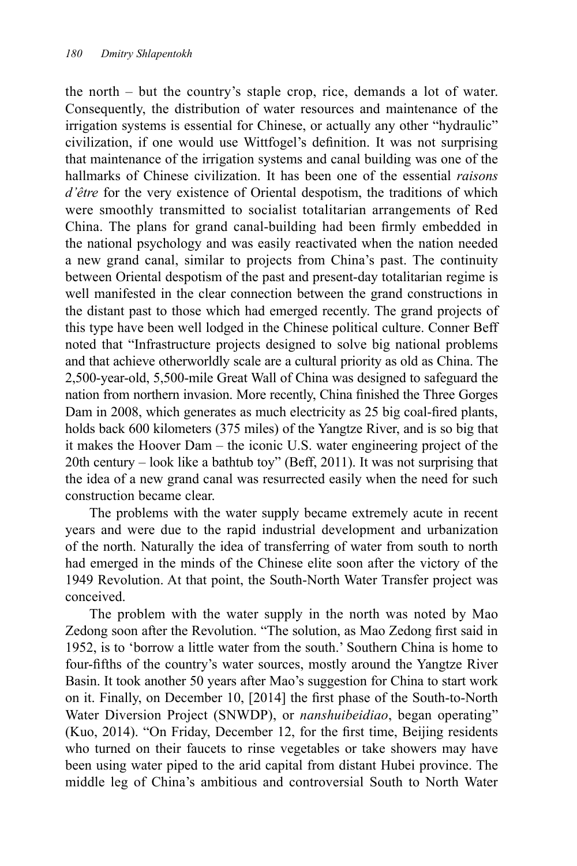the north – but the country's staple crop, rice, demands a lot of water. Consequently, the distribution of water resources and maintenance of the irrigation systems is essential for Chinese, or actually any other "hydraulic" civilization, if one would use Wittfogel's definition. It was not surprising that maintenance of the irrigation systems and canal building was one of the hallmarks of Chinese civilization. It has been one of the essential *raisons d'être* for the very existence of Oriental despotism, the traditions of which were smoothly transmitted to socialist totalitarian arrangements of Red China. The plans for grand canal-building had been firmly embedded in the national psychology and was easily reactivated when the nation needed a new grand canal, similar to projects from China's past. The continuity between Oriental despotism of the past and present-day totalitarian regime is well manifested in the clear connection between the grand constructions in the distant past to those which had emerged recently. The grand projects of this type have been well lodged in the Chinese political culture. Conner Beff noted that "Infrastructure projects designed to solve big national problems and that achieve otherworldly scale are a cultural priority as old as China. The 2,500-year-old, 5,500-mile Great Wall of China was designed to safeguard the nation from northern invasion. More recently, China finished the Three Gorges Dam in 2008, which generates as much electricity as 25 big coal-fired plants, holds back 600 kilometers (375 miles) of the Yangtze River, and is so big that it makes the Hoover Dam – the iconic U.S. water engineering project of the 20th century – look like a bathtub toy" (Beff, 2011). It was not surprising that the idea of a new grand canal was resurrected easily when the need for such construction became clear.

The problems with the water supply became extremely acute in recent years and were due to the rapid industrial development and urbanization of the north. Naturally the idea of transferring of water from south to north had emerged in the minds of the Chinese elite soon after the victory of the 1949 Revolution. At that point, the South-North Water Transfer project was conceived.

The problem with the water supply in the north was noted by Mao Zedong soon after the Revolution. "The solution, as Mao Zedong first said in 1952, is to 'borrow a little water from the south.' Southern China is home to four-fifths of the country's water sources, mostly around the Yangtze River Basin. It took another 50 years after Mao's suggestion for China to start work on it. Finally, on December 10, [2014] the first phase of the South-to-North Water Diversion Project (SNWDP), or *nanshuibeidiao*, began operating" (Kuo, 2014). "On Friday, December 12, for the first time, Beijing residents who turned on their faucets to rinse vegetables or take showers may have been using water piped to the arid capital from distant Hubei province. The middle leg of China's ambitious and controversial South to North Water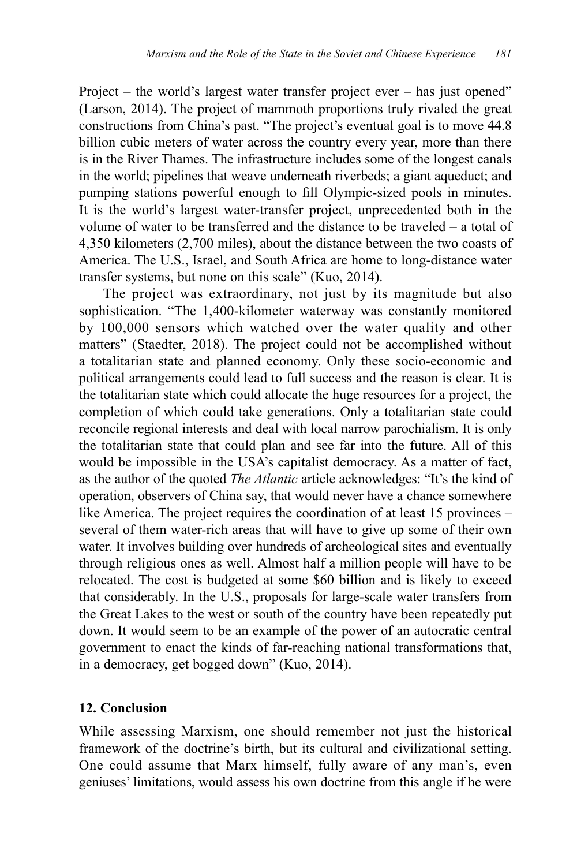Project – the world's largest water transfer project ever – has just opened" (Larson, 2014). The project of mammoth proportions truly rivaled the great constructions from China's past. "The project's eventual goal is to move 44.8 billion cubic meters of water across the country every year, more than there is in the River Thames. The infrastructure includes some of the longest canals in the world; pipelines that weave underneath riverbeds; a giant aqueduct; and pumping stations powerful enough to fill Olympic-sized pools in minutes. It is the world's largest water-transfer project, unprecedented both in the volume of water to be transferred and the distance to be traveled – a total of 4,350 kilometers (2,700 miles), about the distance between the two coasts of America. The U.S., Israel, and South Africa are home to long-distance water transfer systems, but none on this scale" (Kuo, 2014).

The project was extraordinary, not just by its magnitude but also sophistication. "The 1,400-kilometer waterway was constantly monitored by 100,000 sensors which watched over the water quality and other matters" (Staedter, 2018). The project could not be accomplished without a totalitarian state and planned economy. Only these socio-economic and political arrangements could lead to full success and the reason is clear. It is the totalitarian state which could allocate the huge resources for a project, the completion of which could take generations. Only a totalitarian state could reconcile regional interests and deal with local narrow parochialism. It is only the totalitarian state that could plan and see far into the future. All of this would be impossible in the USA's capitalist democracy. As a matter of fact, as the author of the quoted *The Atlantic* article acknowledges: "It's the kind of operation, observers of China say, that would never have a chance somewhere like America. The project requires the coordination of at least 15 provinces – several of them water-rich areas that will have to give up some of their own water. It involves building over hundreds of archeological sites and eventually through religious ones as well. Almost half a million people will have to be relocated. The cost is budgeted at some \$60 billion and is likely to exceed that considerably. In the U.S., proposals for large-scale water transfers from the Great Lakes to the west or south of the country have been repeatedly put down. It would seem to be an example of the power of an autocratic central government to enact the kinds of far-reaching national transformations that, in a democracy, get bogged down" (Kuo, 2014).

#### **12. Conclusion**

While assessing Marxism, one should remember not just the historical framework of the doctrine's birth, but its cultural and civilizational setting. One could assume that Marx himself, fully aware of any man's, even geniuses' limitations, would assess his own doctrine from this angle if he were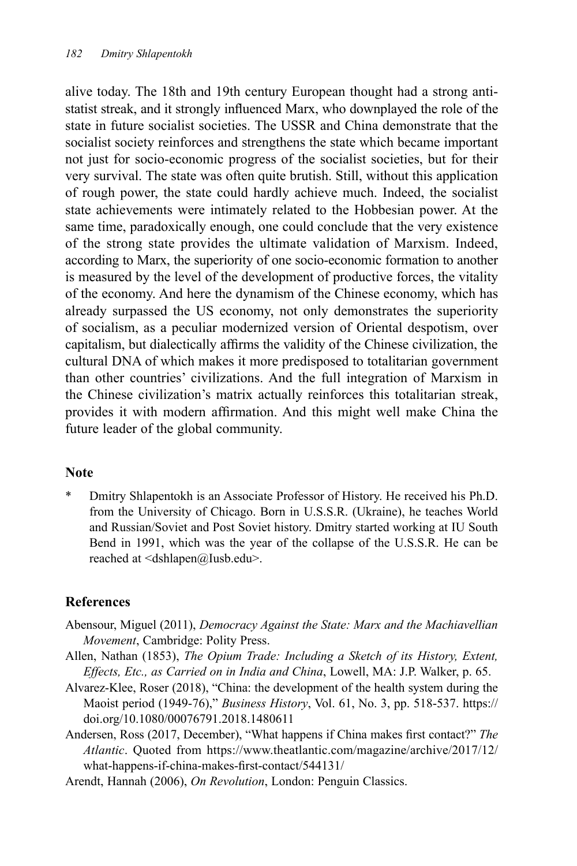alive today. The 18th and 19th century European thought had a strong antistatist streak, and it strongly influenced Marx, who downplayed the role of the state in future socialist societies. The USSR and China demonstrate that the socialist society reinforces and strengthens the state which became important not just for socio-economic progress of the socialist societies, but for their very survival. The state was often quite brutish. Still, without this application of rough power, the state could hardly achieve much. Indeed, the socialist state achievements were intimately related to the Hobbesian power. At the same time, paradoxically enough, one could conclude that the very existence of the strong state provides the ultimate validation of Marxism. Indeed, according to Marx, the superiority of one socio-economic formation to another is measured by the level of the development of productive forces, the vitality of the economy. And here the dynamism of the Chinese economy, which has already surpassed the US economy, not only demonstrates the superiority of socialism, as a peculiar modernized version of Oriental despotism, over capitalism, but dialectically affirms the validity of the Chinese civilization, the cultural DNA of which makes it more predisposed to totalitarian government than other countries' civilizations. And the full integration of Marxism in the Chinese civilization's matrix actually reinforces this totalitarian streak, provides it with modern affirmation. And this might well make China the future leader of the global community.

#### **Note**

Dmitry Shlapentokh is an Associate Professor of History. He received his Ph.D. from the University of Chicago. Born in U.S.S.R. (Ukraine), he teaches World and Russian/Soviet and Post Soviet history. Dmitry started working at IU South Bend in 1991, which was the year of the collapse of the U.S.S.R. He can be reached at <dshlapen@Iusb.edu>.

## **References**

- Abensour, Miguel (2011), *Democracy Against the State: Marx and the Machiavellian Movement*, Cambridge: Polity Press.
- Allen, Nathan (1853), *The Opium Trade: Including a Sketch of its History, Extent, Effects, Etc., as Carried on in India and China*, Lowell, MA: J.P. Walker, p. 65.
- Alvarez-Klee, Roser (2018), "China: the development of the health system during the Maoist period (1949-76)," *Business History*, Vol. 61, No. 3, pp. 518-537. https:// doi.org/10.1080/00076791.2018.1480611
- Andersen, Ross (2017, December), "What happens if China makes first contact?" *The Atlantic*. Quoted from https://www.theatlantic.com/magazine/archive/2017/12/ what-happens-if-china-makes-first-contact/544131/
- Arendt, Hannah (2006), *On Revolution*, London: Penguin Classics.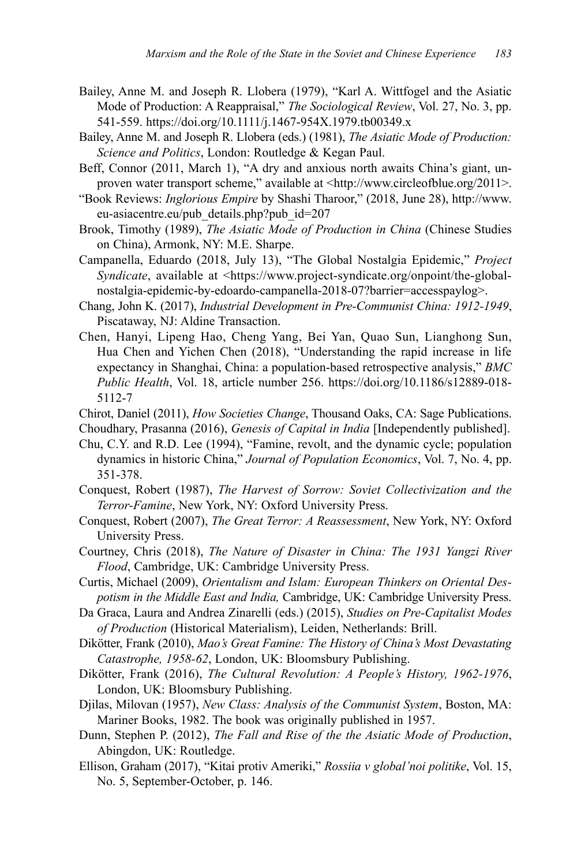- Bailey, Anne M. and Joseph R. Llobera (1979), "Karl A. Wittfogel and the Asiatic Mode of Production: A Reappraisal," *The Sociological Review*, Vol. 27, No. 3, pp. 541-559. https://doi.org/10.1111/j.1467-954X.1979.tb00349.x
- Bailey, Anne M. and Joseph R. Llobera (eds.) (1981), *The Asiatic Mode of Production: Science and Politics*, London: Routledge & Kegan Paul.
- Beff, Connor (2011, March 1), "A dry and anxious north awaits China's giant, unproven water transport scheme," available at <http://www.circleofblue.org/2011>.
- "Book Reviews: *Inglorious Empire* by Shashi Tharoor," (2018, June 28), http://www. eu-asiacentre.eu/pub\_details.php?pub\_id=207
- Brook, Timothy (1989), *The Asiatic Mode of Production in China* (Chinese Studies on China), Armonk, NY: M.E. Sharpe.
- Campanella, Eduardo (2018, July 13), "The Global Nostalgia Epidemic," *Project Syndicate*, available at <https://www.project-syndicate.org/onpoint/the-globalnostalgia-epidemic-by-edoardo-campanella-2018-07?barrier=accesspaylog>.
- Chang, John K. (2017), *Industrial Development in Pre-Communist China: 1912-1949*, Piscataway, NJ: Aldine Transaction.
- Chen, Hanyi, Lipeng Hao, Cheng Yang, Bei Yan, Quao Sun, Lianghong Sun, Hua Chen and Yichen Chen (2018), "Understanding the rapid increase in life expectancy in Shanghai, China: a population-based retrospective analysis," *BMC Public Health*, Vol. 18, article number 256. https://doi.org/10.1186/s12889-018- 5112-7
- Chirot, Daniel (2011), *How Societies Change*, Thousand Oaks, CA: Sage Publications.
- Choudhary, Prasanna (2016), *Genesis of Capital in India* [Independently published].
- Chu, C.Y. and R.D. Lee (1994), "Famine, revolt, and the dynamic cycle; population dynamics in historic China," *Journal of Population Economics*, Vol. 7, No. 4, pp. 351-378.
- Conquest, Robert (1987), *The Harvest of Sorrow: Soviet Collectivization and the Terror-Famine*, New York, NY: Oxford University Press.
- Conquest, Robert (2007), *The Great Terror: A Reassessment*, New York, NY: Oxford University Press.
- Courtney, Chris (2018), *The Nature of Disaster in China: The 1931 Yangzi River Flood*, Cambridge, UK: Cambridge University Press.
- Curtis, Michael (2009), *Orientalism and Islam: European Thinkers on Oriental Despotism in the Middle East and India,* Cambridge, UK: Cambridge University Press.
- Da Graca, Laura and Andrea Zinarelli (eds.) (2015), *Studies on Pre-Capitalist Modes of Production* (Historical Materialism), Leiden, Netherlands: Brill.
- Dikötter, Frank (2010), *Mao's Great Famine: The History of China's Most Devastating Catastrophe, 1958-62*, London, UK: Bloomsbury Publishing.
- Dikötter, Frank (2016), *The Cultural Revolution: A People's History, 1962-1976*, London, UK: Bloomsbury Publishing.
- Djilas, Milovan (1957), *New Class: Analysis of the Communist System*, Boston, MA: Mariner Books, 1982. The book was originally published in 1957.
- Dunn, Stephen P. (2012), *The Fall and Rise of the the Asiatic Mode of Production*, Abingdon, UK: Routledge.
- Ellison, Graham (2017), "Kitai protiv Ameriki," *Rossiia v global'noi politike*, Vol. 15, No. 5, September-October, p. 146.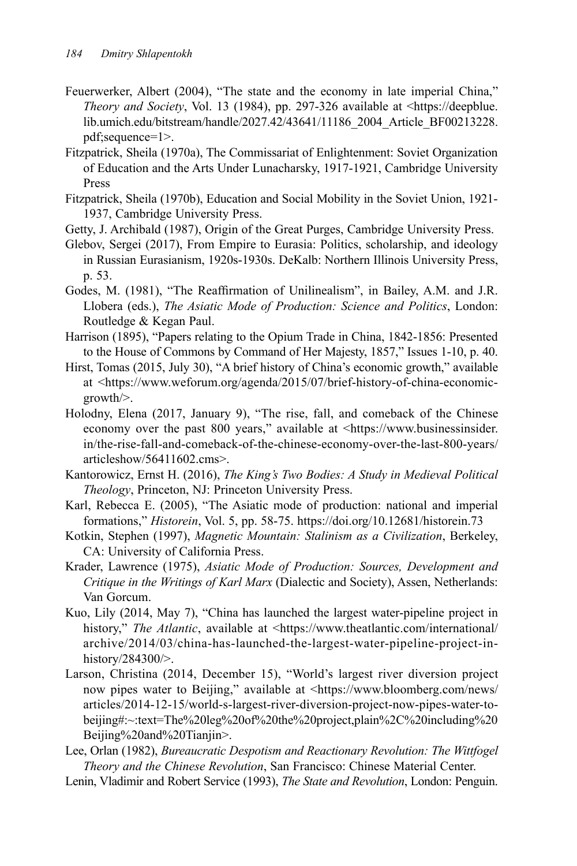- Feuerwerker, Albert (2004), "The state and the economy in late imperial China," *Theory and Society*, Vol. 13 (1984), pp. 297-326 available at <https://deepblue. lib.umich.edu/bitstream/handle/2027.42/43641/11186\_2004\_Article\_BF00213228. pdf;sequence=1>.
- Fitzpatrick, Sheila (1970a), The Commissariat of Enlightenment: Soviet Organization of Education and the Arts Under Lunacharsky, 1917-1921, Cambridge University Press
- Fitzpatrick, Sheila (1970b), Education and Social Mobility in the Soviet Union, 1921- 1937, Cambridge University Press.
- Getty, J. Archibald (1987), Origin of the Great Purges, Cambridge University Press.
- Glebov, Sergei (2017), From Empire to Eurasia: Politics, scholarship, and ideology in Russian Eurasianism, 1920s-1930s. DeKalb: Northern Illinois University Press, p. 53.
- Godes, M. (1981), "The Reaffirmation of Unilinealism", in Bailey, A.M. and J.R. Llobera (eds.), *The Asiatic Mode of Production: Science and Politics*, London: Routledge & Kegan Paul.
- Harrison (1895), "Papers relating to the Opium Trade in China, 1842-1856: Presented to the House of Commons by Command of Her Majesty, 1857," Issues 1-10, p. 40.
- Hirst, Tomas (2015, July 30), "A brief history of China's economic growth," available at <https://www.weforum.org/agenda/2015/07/brief-history-of-china-economicgrowth/>.
- Holodny, Elena (2017, January 9), "The rise, fall, and comeback of the Chinese economy over the past 800 years," available at <https://www.businessinsider. in/the-rise-fall-and-comeback-of-the-chinese-economy-over-the-last-800-years/ articleshow/56411602.cms>.
- Kantorowicz, Ernst H. (2016), *The King's Two Bodies: A Study in Medieval Political Theology*, Princeton, NJ: Princeton University Press.
- Karl, Rebecca E. (2005), "The Asiatic mode of production: national and imperial formations," *Historein*, Vol. 5, pp. 58-75. https://doi.org/10.12681/historein.73
- Kotkin, Stephen (1997), *Magnetic Mountain: Stalinism as a Civilization*, Berkeley, CA: University of California Press.
- Krader, Lawrence (1975), *Asiatic Mode of Production: Sources, Development and Critique in the Writings of Karl Marx* (Dialectic and Society), Assen, Netherlands: Van Gorcum.
- Kuo, Lily (2014, May 7), "China has launched the largest water-pipeline project in history," *The Atlantic*, available at <https://www.theatlantic.com/international/ archive/2014/03/china-has-launched-the-largest-water-pipeline-project-inhistory/284300/>.
- Larson, Christina (2014, December 15), "World's largest river diversion project now pipes water to Beijing," available at <https://www.bloomberg.com/news/ articles/2014-12-15/world-s-largest-river-diversion-project-now-pipes-water-tobeijing#:~:text=The%20leg%20of%20the%20project,plain%2C%20including%20 Beijing%20and%20Tianjin>.
- Lee, Orlan (1982), *Bureaucratic Despotism and Reactionary Revolution: The Wittfogel Theory and the Chinese Revolution*, San Francisco: Chinese Material Center.
- Lenin, Vladimir and Robert Service (1993), *The State and Revolution*, London: Penguin.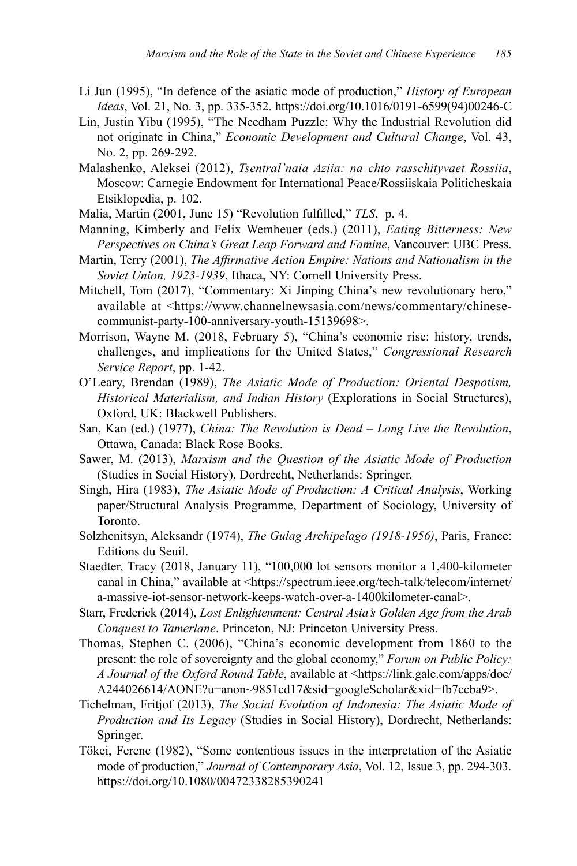- Li Jun (1995), "In defence of the asiatic mode of production," *History of European Ideas*, Vol. 21, No. 3, pp. 335-352. https://doi.org/10.1016/0191-6599(94)00246-C
- Lin, Justin Yibu (1995), "The Needham Puzzle: Why the Industrial Revolution did not originate in China," *Economic Development and Cultural Change*, Vol. 43, No. 2, pp. 269-292.
- Malashenko, Aleksei (2012), *Tsentral'naia Aziia: na chto rasschityvaet Rossiia*, Moscow: Carnegie Endowment for International Peace/Rossiiskaia Politicheskaia Etsiklopedia, p. 102.
- Malia, Martin (2001, June 15) "Revolution fulfilled," *TLS*, p. 4.
- Manning, Kimberly and Felix Wemheuer (eds.) (2011), *Eating Bitterness: New Perspectives on China's Great Leap Forward and Famine*, Vancouver: UBC Press.
- Martin, Terry (2001), *The Affirmative Action Empire: Nations and Nationalism in the Soviet Union, 1923-1939*, Ithaca, NY: Cornell University Press.
- Mitchell, Tom (2017), "Commentary: Xi Jinping China's new revolutionary hero," available at <https://www.channelnewsasia.com/news/commentary/chinesecommunist-party-100-anniversary-youth-15139698>.
- Morrison, Wayne M. (2018, February 5), "China's economic rise: history, trends, challenges, and implications for the United States," *Congressional Research Service Report*, pp. 1-42.
- O'Leary, Brendan (1989), *The Asiatic Mode of Production: Oriental Despotism, Historical Materialism, and Indian History* (Explorations in Social Structures), Oxford, UK: Blackwell Publishers.
- San, Kan (ed.) (1977), *China: The Revolution is Dead Long Live the Revolution*, Ottawa, Canada: Black Rose Books.
- Sawer, M. (2013), *Marxism and the Question of the Asiatic Mode of Production*  (Studies in Social History), Dordrecht, Netherlands: Springer.
- Singh, Hira (1983), *The Asiatic Mode of Production: A Critical Analysis*, Working paper/Structural Analysis Programme, Department of Sociology, University of Toronto.
- Solzhenitsyn, Aleksandr (1974), *The Gulag Archipelago (1918-1956)*, Paris, France: Editions du Seuil.
- Staedter, Tracy (2018, January 11), "100,000 lot sensors monitor a 1,400-kilometer canal in China," available at <https://spectrum.ieee.org/tech-talk/telecom/internet/ a-massive-iot-sensor-network-keeps-watch-over-a-1400kilometer-canal>.
- Starr, Frederick (2014), *Lost Enlightenment: Central Asia's Golden Age from the Arab Conquest to Tamerlane*. Princeton, NJ: Princeton University Press.
- Thomas, Stephen C. (2006), "China's economic development from 1860 to the present: the role of sovereignty and the global economy," *Forum on Public Policy: A Journal of the Oxford Round Table*, available at <https://link.gale.com/apps/doc/ A244026614/AONE?u=anon~9851cd17&sid=googleScholar&xid=fb7ccba9>.
- Tichelman, Fritjof (2013), *The Social Evolution of Indonesia: The Asiatic Mode of Production and Its Legacy* (Studies in Social History), Dordrecht, Netherlands: Springer.
- Tökei, Ferenc (1982), "Some contentious issues in the interpretation of the Asiatic mode of production," *Journal of Contemporary Asia*, Vol. 12, Issue 3, pp. 294-303. https://doi.org/10.1080/00472338285390241